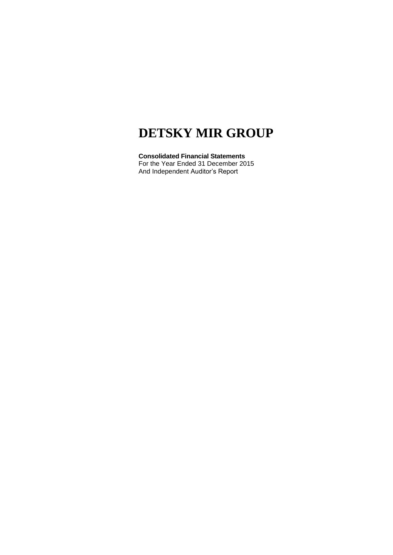**Consolidated Financial Statements** For the Year Ended 31 December 2015 And Independent Auditor's Report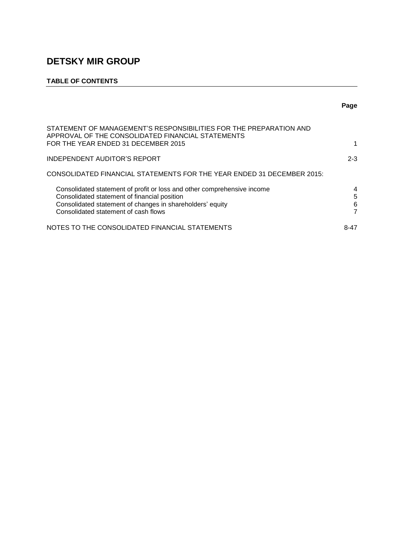# **TABLE OF CONTENTS**

|                                                                                                                                                                                                                              | Page             |
|------------------------------------------------------------------------------------------------------------------------------------------------------------------------------------------------------------------------------|------------------|
| STATEMENT OF MANAGEMENT'S RESPONSIBILITIES FOR THE PREPARATION AND<br>APPROVAL OF THE CONSOLIDATED FINANCIAL STATEMENTS<br>FOR THE YEAR ENDED 31 DECEMBER 2015                                                               | 1                |
| <b>INDEPENDENT AUDITOR'S REPORT</b>                                                                                                                                                                                          | $2 - 3$          |
| CONSOLIDATED FINANCIAL STATEMENTS FOR THE YEAR ENDED 31 DECEMBER 2015:                                                                                                                                                       |                  |
| Consolidated statement of profit or loss and other comprehensive income<br>Consolidated statement of financial position<br>Consolidated statement of changes in shareholders' equity<br>Consolidated statement of cash flows | 4<br>5<br>6<br>7 |
| NOTES TO THE CONSOLIDATED FINANCIAL STATEMENTS                                                                                                                                                                               | 8-47             |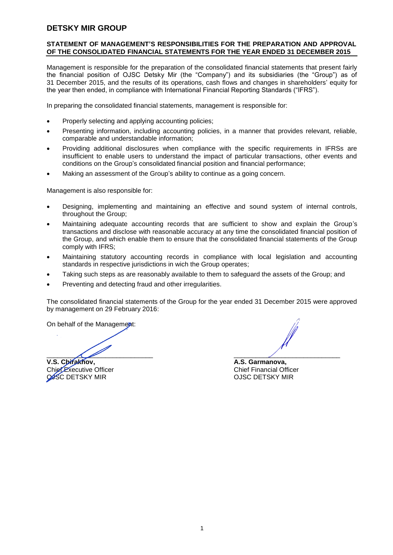#### **STATEMENT OF MANAGEMENT'S RESPONSIBILITIES FOR THE PREPARATION AND APPROVAL OF THE CONSOLIDATED FINANCIAL STATEMENTS FOR THE YEAR ENDED 31 DECEMBER 2015**

Management is responsible for the preparation of the consolidated financial statements that present fairly the financial position of OJSC Detsky Mir (the "Company") and its subsidiaries (the "Group") as of 31 December 2015, and the results of its operations, cash flows and changes in shareholders' equity for the year then ended, in compliance with International Financial Reporting Standards ("IFRS").

In preparing the consolidated financial statements, management is responsible for:

- Properly selecting and applying accounting policies;
- Presenting information, including accounting policies, in a manner that provides relevant, reliable, comparable and understandable information;
- Providing additional disclosures when compliance with the specific requirements in IFRSs are insufficient to enable users to understand the impact of particular transactions, other events and conditions on the Group's consolidated financial position and financial performance;
- Making an assessment of the Group's ability to continue as a going concern.

Management is also responsible for:

- Designing, implementing and maintaining an effective and sound system of internal controls, throughout the Group;
- Maintaining adequate accounting records that are sufficient to show and explain the Group's transactions and disclose with reasonable accuracy at any time the consolidated financial position of the Group, and which enable them to ensure that the consolidated financial statements of the Group comply with IFRS;
- Maintaining statutory accounting records in compliance with local legislation and accounting standards in respective jurisdictions in wich the Group operates;
- Taking such steps as are reasonably available to them to safeguard the assets of the Group; and
- Preventing and detecting fraud and other irregularities.

The consolidated financial statements of the Group for the year ended 31 December 2015 were approved by management on 29 February 2016:

On behalf of the Management:

 $\overline{\mathscr{L}}$  , and the set of the set of the set of the set of the set of the set of the set of the set of the set of the set of the set of the set of the set of the set of the set of the set of the set of the set of the s **V.S. Chirakhov, A.S. Garmanova,** 

Chief Executive Officer Chief Financial Officer OJSC DETSKY MIR OJSC DETSKY MIR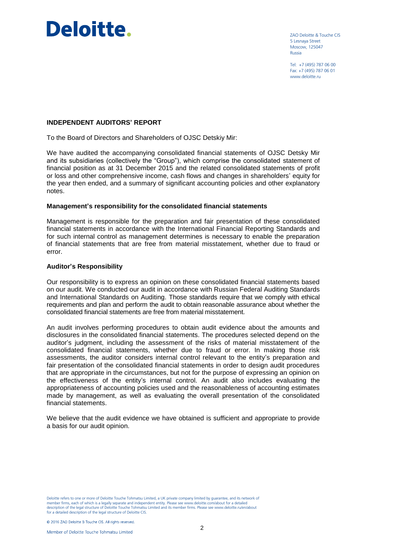# Deloitte.

ZAO Deloitte & Touche CIS 5 Lesnaya Street Moscow, 125047 Russia

Tel: +7 (495) 787 06 00 Fax: +7 (495) 787 06 01 www.deloitte.ru

#### **INDEPENDENT AUDITORS' REPORT**

To the Board of Directors and Shareholders of OJSC Detskiy Mir:

We have audited the accompanying consolidated financial statements of OJSC Detsky Mir and its subsidiaries (collectively the "Group"), which comprise the consolidated statement of financial position as at 31 December 2015 and the related consolidated statements of profit or loss and other comprehensive income, cash flows and changes in shareholders' equity for the year then ended, and a summary of significant accounting policies and other explanatory notes.

#### **Management's responsibility for the consolidated financial statements**

Management is responsible for the preparation and fair presentation of these consolidated financial statements in accordance with the International Financial Reporting Standards and for such internal control as management determines is necessary to enable the preparation of financial statements that are free from material misstatement, whether due to fraud or error.

#### **Auditor's Responsibility**

Our responsibility is to express an opinion on these consolidated financial statements based on our audit. We conducted our audit in accordance with Russian Federal Auditing Standards and International Standards on Auditing. Those standards require that we comply with ethical requirements and plan and perform the audit to obtain reasonable assurance about whether the consolidated financial statements are free from material misstatement.

An audit involves performing procedures to obtain audit evidence about the amounts and disclosures in the consolidated financial statements. The procedures selected depend on the auditor's judgment, including the assessment of the risks of material misstatement of the consolidated financial statements, whether due to fraud or error. In making those risk assessments, the auditor considers internal control relevant to the entity's preparation and fair presentation of the consolidated financial statements in order to design audit procedures that are appropriate in the circumstances, but not for the purpose of expressing an opinion on the effectiveness of the entity's internal control. An audit also includes evaluating the appropriateness of accounting policies used and the reasonableness of accounting estimates made by management, as well as evaluating the overall presentation of the consolidated financial statements.

We believe that the audit evidence we have obtained is sufficient and appropriate to provide a basis for our audit opinion.

Deloitte refers to one or more of Deloitte Touche Tohmatsu Limited, a UK private company limited by guarantee, and its network of member firms, each of which is a legally senarate and independent entity. Please see www.del member firms, each of which is a legally separate and independent entity. Please see www.deloitte.com/about for a detailed separate and independent entity. Please see www.deloitte.com/about for a detailed separate and inde description of the legal structure of Deloitte Touche Tohmatsu Limited and its member firms. Please see www.deloitte.ru/en/about for a detailed description of the legal structure of Deloitte CIS.

© 2016 ZAO Deloitte & Touche CIS. All rights reserved.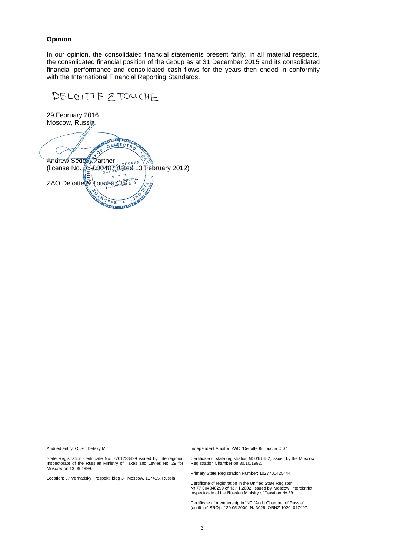#### **Opinion**

In our opinion, the consolidated financial statements present fairly, in all material respects, the consolidated financial position of the Group as at 31 December 2015 and its consolidated financial performance and consolidated cash flows for the years then ended in conformity with the International Financial Reporting Standards.

DELOITTE E TOUCHE 29 February 2016 Moscow, Russia **BOTPE KECT** . 6 Andrew Sedo veratner Andrew Seater Armer<br>(license No. 04-000487 dated 13 February 2012) ZAO Deloitte & Touche Cisa A 5  $AC$ **TANKER STARTED** 

Audited entity: OJSC Detsky Mir

State Registration Certificate No. 7701233499 issued by Interregional Inspectorate of the Russian Ministry of Taxes and Levies No. 29 for Moscow on 13.09.1999.

Location: 37 Vernadsky Prospekt, bldg 3, Moscow, 117415, Russia

Independent Auditor: ZAO "Deloitte & Touche CIS"

Certificate of state registration № 018.482, issued by the Moscow Registration Chamber on 30.10.1992.

Primary State Registration Number: 1027700425444

Certificate of registration in the Unified State Register № 77 004840299 of 13.11.2002, issued by Moscow Interdistrict Inspectorate of the Russian Ministry of Taxation № 39.

Certificate of membership in "NP "Audit Chamber of Russia" (auditors' SRO) of 20.05.2009 № 3026, ORNZ 10201017407.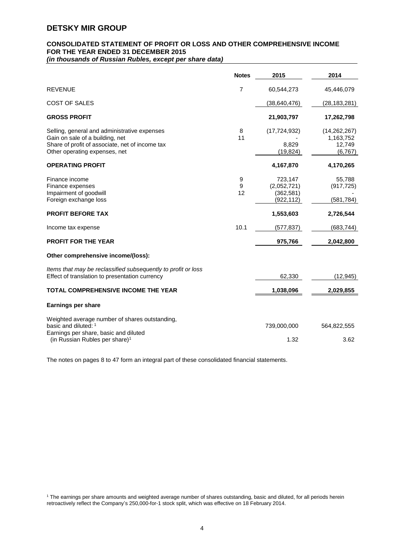#### **CONSOLIDATED STATEMENT OF PROFIT OR LOSS AND OTHER COMPREHENSIVE INCOME FOR THE YEAR ENDED 31 DECEMBER 2015**  *(in thousands of Russian Rubles, except per share data)*

|                                                                                                                                                                     | <b>Notes</b>   | 2015                                               | 2014                                              |
|---------------------------------------------------------------------------------------------------------------------------------------------------------------------|----------------|----------------------------------------------------|---------------------------------------------------|
| <b>REVENUE</b>                                                                                                                                                      | $\overline{7}$ | 60,544,273                                         | 45,446,079                                        |
| <b>COST OF SALES</b>                                                                                                                                                |                | (38, 640, 476)                                     | (28, 183, 281)                                    |
| <b>GROSS PROFIT</b>                                                                                                                                                 |                | 21,903,797                                         | 17,262,798                                        |
| Selling, general and administrative expenses<br>Gain on sale of a building, net<br>Share of profit of associate, net of income tax<br>Other operating expenses, net | 8<br>11        | (17, 724, 932)<br>8,829<br>(19, 824)               | (14, 262, 267)<br>1,163,752<br>12,749<br>(6, 767) |
| <b>OPERATING PROFIT</b>                                                                                                                                             |                | 4,167,870                                          | 4,170,265                                         |
| Finance income<br>Finance expenses<br>Impairment of goodwill<br>Foreign exchange loss                                                                               | 9<br>9<br>12   | 723,147<br>(2,052,721)<br>(362, 581)<br>(922, 112) | 55,788<br>(917, 725)<br>(581, 784)                |
| <b>PROFIT BEFORE TAX</b>                                                                                                                                            |                | 1,553,603                                          | 2,726,544                                         |
| Income tax expense                                                                                                                                                  | 10.1           | (577, 837)                                         | (683, 744)                                        |
| <b>PROFIT FOR THE YEAR</b>                                                                                                                                          |                | 975,766                                            | 2,042,800                                         |
| Other comprehensive income/(loss):                                                                                                                                  |                |                                                    |                                                   |
| Items that may be reclassified subsequently to profit or loss<br>Effect of translation to presentation currency                                                     |                | 62,330                                             | (12, 945)                                         |
| <b>TOTAL COMPREHENSIVE INCOME THE YEAR</b>                                                                                                                          |                | 1,038,096                                          | 2,029,855                                         |
| <b>Earnings per share</b>                                                                                                                                           |                |                                                    |                                                   |
| Weighted average number of shares outstanding,<br>basic and diluted: 1<br>Earnings per share, basic and diluted                                                     |                | 739,000,000                                        | 564,822,555                                       |
| (in Russian Rubles per share) <sup>1</sup>                                                                                                                          |                | 1.32                                               | 3.62                                              |

The notes on pages 8 to 47 form an integral part of these consolidated financial statements.

<sup>1</sup> The earnings per share amounts and weighted average number of shares outstanding, basic and diluted, for all periods herein retroactively reflect the Company's 250,000-for-1 stock split, which was effective on 18 February 2014.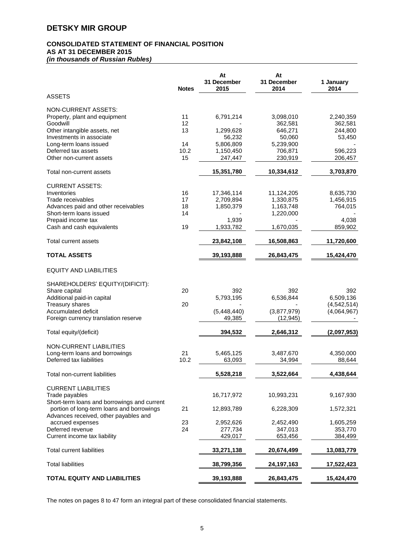#### **CONSOLIDATED STATEMENT OF FINANCIAL POSITION AS AT 31 DECEMBER 2015** *(in thousands of Russian Rubles)*

|                                                 | <b>Notes</b> | At<br>31 December<br>2015 | At<br>31 December<br>2014 | 1 January<br>2014 |
|-------------------------------------------------|--------------|---------------------------|---------------------------|-------------------|
| <b>ASSETS</b>                                   |              |                           |                           |                   |
| <b>NON-CURRENT ASSETS:</b>                      |              |                           |                           |                   |
| Property, plant and equipment                   | 11           | 6,791,214                 | 3,098,010                 | 2,240,359         |
| Goodwill                                        | 12           |                           | 362,581                   | 362,581           |
| Other intangible assets, net                    | 13           | 1,299,628                 | 646,271                   | 244,800           |
| Investments in associate                        |              | 56,232                    | 50,060                    | 53,450            |
| Long-term loans issued                          | 14           | 5,806,809                 | 5,239,900                 |                   |
| Deferred tax assets<br>Other non-current assets | 10.2<br>15   | 1,150,450                 | 706,871<br>230,919        | 596,223           |
|                                                 |              | 247,447                   |                           | 206,457           |
| Total non-current assets                        |              | 15,351,780                | 10,334,612                | 3,703,870         |
| <b>CURRENT ASSETS:</b>                          |              |                           |                           |                   |
| Inventories                                     | 16           | 17,346,114                | 11,124,205                | 8,635,730         |
| Trade receivables                               | 17           | 2,709,894                 | 1,330,875                 | 1,456,915         |
| Advances paid and other receivables             | 18           | 1,850,379                 | 1,163,748                 | 764,015           |
| Short-term loans issued                         | 14           |                           | 1,220,000                 |                   |
| Prepaid income tax                              |              | 1,939                     |                           | 4,038             |
| Cash and cash equivalents                       | 19           | 1,933,782                 | 1,670,035                 | 859,902           |
| <b>Total current assets</b>                     |              | 23,842,108                | 16,508,863                | 11,720,600        |
| <b>TOTAL ASSETS</b>                             |              | 39,193,888                | 26,843,475                | 15,424,470        |
| <b>EQUITY AND LIABILITIES</b>                   |              |                           |                           |                   |
|                                                 |              |                           |                           |                   |
| SHAREHOLDERS' EQUITY/(DIFICIT):                 | 20           | 392                       | 392                       | 392               |
| Share capital<br>Additional paid-in capital     |              | 5,793,195                 | 6,536,844                 | 6,509,136         |
| <b>Treasury shares</b>                          | 20           |                           |                           | (4,542,514)       |
| Accumulated deficit                             |              | (5,448,440)               | (3,877,979)               | (4,064,967)       |
| Foreign currency translation reserve            |              | 49,385                    | (12, 945)                 |                   |
| Total equity/(deficit)                          |              | 394,532                   | 2,646,312                 | (2,097,953)       |
|                                                 |              |                           |                           |                   |
| <b>NON-CURRENT LIABILITIES</b>                  |              |                           |                           |                   |
| Long-term loans and borrowings                  | 21           | 5,465,125                 | 3,487,670                 | 4,350,000         |
| Deferred tax liabilities                        | 10.2         | 63,093                    | 34,994                    | 88,644            |
| Total non-current liabilities                   |              | 5,528,218                 | 3,522,664                 | 4,438,644         |
| <b>CURRENT LIABILITIES</b>                      |              |                           |                           |                   |
| Trade payables                                  |              | 16,717,972                | 10,993,231                | 9,167,930         |
| Short-term loans and borrowings and current     |              |                           |                           |                   |
| portion of long-term loans and borrowings       | 21           | 12,893,789                | 6,228,309                 | 1,572,321         |
| Advances received, other payables and           |              |                           |                           |                   |
| accrued expenses                                | 23           | 2,952,626                 | 2,452,490                 | 1,605,259         |
| Deferred revenue                                | 24           | 277,734                   | 347,013                   | 353,770           |
| Current income tax liability                    |              | 429,017                   | 653,456                   | 384,499           |
| <b>Total current liabilities</b>                |              | 33,271,138                | 20,674,499                | 13,083,779        |
| <b>Total liabilities</b>                        |              | 38,799,356                | 24,197,163                | 17,522,423        |
| <b>TOTAL EQUITY AND LIABILITIES</b>             |              | 39,193,888                | 26,843,475                | 15,424,470        |
|                                                 |              |                           |                           |                   |

The notes on pages 8 to 47 form an integral part of these consolidated financial statements.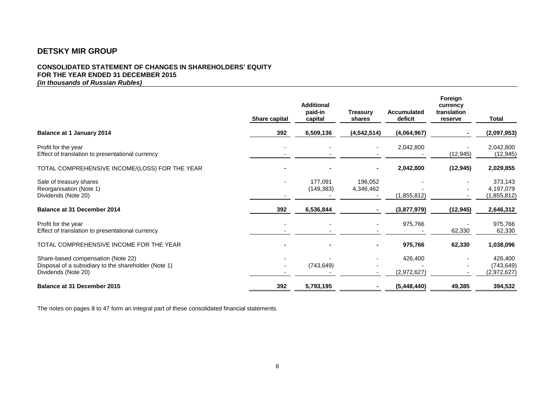#### **CONSOLIDATED STATEMENT OF CHANGES IN SHAREHOLDERS' EQUITY FOR THE YEAR ENDED 31 DECEMBER 2015**  *(in thousands of Russian Rubles)*

|                                                                                                                   | <b>Share capital</b> | <b>Additional</b><br>paid-in<br>capital | <b>Treasury</b><br>shares | Accumulated<br>deficit | Foreign<br>currency<br>translation<br>reserve | <b>Total</b>                         |
|-------------------------------------------------------------------------------------------------------------------|----------------------|-----------------------------------------|---------------------------|------------------------|-----------------------------------------------|--------------------------------------|
| <b>Balance at 1 January 2014</b>                                                                                  | 392                  | 6,509,136                               | (4, 542, 514)             | (4,064,967)            |                                               | (2,097,953)                          |
| Profit for the year<br>Effect of translation to presentational currency                                           |                      |                                         |                           | 2,042,800              | (12, 945)                                     | 2,042,800<br>(12, 945)               |
| TOTAL COMPREHENSIVE INCOME/(LOSS) FOR THE YEAR                                                                    |                      |                                         |                           | 2,042,800              | (12, 945)                                     | 2,029,855                            |
| Sale of treasury shares<br>Reorganisation (Note 1)<br>Dividends (Note 20)                                         |                      | 177,091<br>(149, 383)                   | 196,052<br>4,346,462      | (1,855,812)            |                                               | 373,143<br>4,197,079<br>(1,855,812)  |
| <b>Balance at 31 December 2014</b>                                                                                | 392                  | 6,536,844                               |                           | (3,877,979)            | (12, 945)                                     | 2,646,312                            |
| Profit for the year<br>Effect of translation to presentational currency                                           |                      |                                         |                           | 975,766                | 62,330                                        | 975,766<br>62,330                    |
| TOTAL COMPREHENSIVE INCOME FOR THE YEAR                                                                           |                      |                                         |                           | 975,766                | 62,330                                        | 1,038,096                            |
| Share-based compensation (Note 22)<br>Disposal of a subsidiary to the shareholder (Note 1)<br>Dividends (Note 20) |                      | (743, 649)                              |                           | 426,400<br>(2,972,627) |                                               | 426,400<br>(743, 649)<br>(2,972,627) |
| <b>Balance at 31 December 2015</b>                                                                                | 392                  | 5,793,195                               |                           | (5,448,440)            | 49,385                                        | 394,532                              |

The notes on pages 8 to 47 form an integral part of these consolidated financial statements.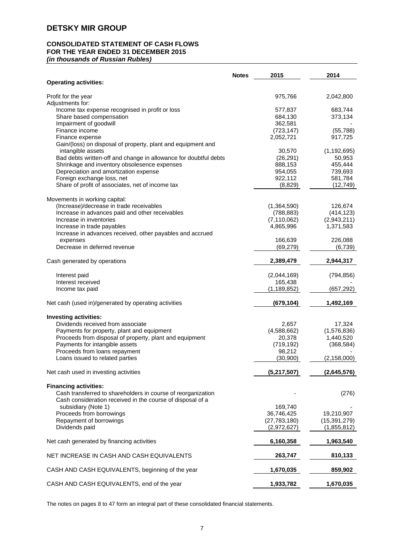#### **CONSOLIDATED STATEMENT OF CASH FLOWS FOR THE YEAR ENDED 31 DECEMBER 2015**  *(in thousands of Russian Rubles)*

|                                                                  | <b>Notes</b> | 2015           | 2014           |
|------------------------------------------------------------------|--------------|----------------|----------------|
| <b>Operating activities:</b>                                     |              |                |                |
| Profit for the year<br>Adjustments for:                          |              | 975,766        | 2,042,800      |
| Income tax expense recognised in profit or loss                  |              | 577,837        | 683,744        |
| Share based compensation                                         |              | 684,130        | 373,134        |
| Impairment of goodwill                                           |              | 362,581        |                |
| Finance income                                                   |              | (723, 147)     | (55,788)       |
| Finance expense                                                  |              | 2,052,721      | 917,725        |
| Gain/(loss) on disposal of property, plant and equipment and     |              |                |                |
| intangible assets                                                |              | 30,570         | (1, 192, 695)  |
| Bad debts written-off and change in allowance for doubtful debts |              | (26, 291)      | 50,953         |
| Shrinkage and inventory obsolesence expenses                     |              | 888,153        | 455,444        |
| Depreciation and amortization expense                            |              | 954,055        | 739,693        |
| Foreign exchange loss, net                                       |              | 922,112        | 581,784        |
| Share of profit of associates, net of income tax                 |              | (8,829)        | (12, 749)      |
| Movements in working capital:                                    |              |                |                |
| (Increase)/decrease in trade receivables                         |              | (1,364,590)    | 126,674        |
| Increase in advances paid and other receivables                  |              | (788, 883)     | (414, 123)     |
| Increase in inventories                                          |              | (7, 110, 062)  | (2,943,211)    |
| Increase in trade payables                                       |              | 4,865,996      | 1,371,583      |
| Increase in advances received, other payables and accrued        |              |                |                |
| expenses                                                         |              | 166,639        | 226,088        |
| Decrease in deferred revenue                                     |              | (69, 279)      | (6,739)        |
| Cash generated by operations                                     |              | 2,389,479      | 2,944,317      |
| Interest paid                                                    |              | (2,044,169)    | (794, 856)     |
| Interest received                                                |              | 165,438        |                |
| Income tax paid                                                  |              | (1, 189, 852)  | (657, 292)     |
| Net cash (used in)/generated by operating activities             |              | (679, 104)     | 1,492,169      |
| <b>Investing activities:</b>                                     |              |                |                |
| Dividends received from associate                                |              | 2,657          | 17,324         |
| Payments for property, plant and equipment                       |              | (4,588,662)    | (1,576,836)    |
| Proceeds from disposal of property, plant and equipment          |              | 20,378         | 1,440,520      |
| Payments for intangible assets                                   |              | (719, 192)     | (368, 584)     |
| Proceeds from loans repayment                                    |              | 98,212         |                |
| Loans issued to related parties                                  |              | (30, 900)      | (2, 158, 000)  |
| Net cash used in investing activities                            |              | (5,217,507)    | (2,645,576)    |
| <b>Financing activities:</b>                                     |              |                |                |
| Cash transferred to shareholders in course of reorganization     |              |                | (276)          |
| Cash consideration received in the course of disposal of a       |              |                |                |
| subsidiary (Note 1)                                              |              | 169,740        |                |
| Proceeds from borrowings                                         |              | 36,746,425     | 19,210,907     |
| Repayment of borrowings                                          |              | (27, 783, 180) | (15, 391, 279) |
| Dividends paid                                                   |              | (2,972,627)    | (1,855,812)    |
| Net cash generated by financing activities                       |              | 6,160,358      | 1,963,540      |
| NET INCREASE IN CASH AND CASH EQUIVALENTS                        |              | 263,747        | 810,133        |
| CASH AND CASH EQUIVALENTS, beginning of the year                 |              | 1,670,035      | 859,902        |
| CASH AND CASH EQUIVALENTS, end of the year                       |              | 1,933,782      | 1,670,035      |

The notes on pages 8 to 47 form an integral part of these consolidated financial statements.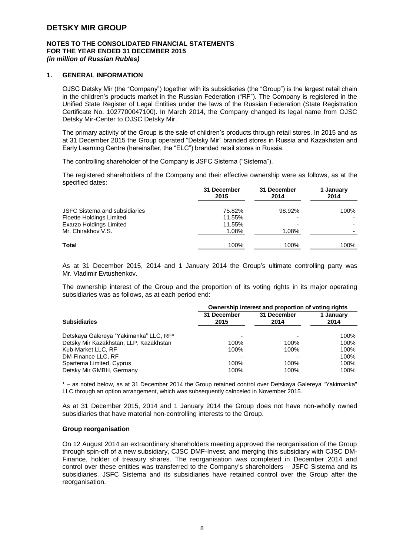#### **NOTES TO THE CONSOLIDATED FINANCIAL STATEMENTS FOR THE YEAR ENDED 31 DECEMBER 2015**  *(in million of Russian Rubles)*

#### **1. GENERAL INFORMATION**

OJSC Detsky Mir (the "Company") together with its subsidiaries (the "Group") is the largest retail chain in the children's products market in the Russian Federation ("RF"). The Company is registered in the Unified State Register of Legal Entities under the laws of the Russian Federation (State Registration Certificate No. 1027700047100). In March 2014, the Company changed its legal name from OJSC Detsky Mir-Center to OJSC Detsky Mir.

The primary activity of the Group is the sale of children's products through retail stores. In 2015 and as at 31 December 2015 the Group operated "Detsky Mir" branded stores in Russia and Kazakhstan and Early Learning Centre (hereinafter, the "ELC") branded retail stores in Russia.

The controlling shareholder of the Company is JSFC Sistema ("Sistema").

The registered shareholders of the Company and their effective ownership were as follows, as at the specified dates:

|                                      | 31 December<br>2015 | 31 December<br>2014 | 1 January<br>2014 |
|--------------------------------------|---------------------|---------------------|-------------------|
| <b>JSFC Sistema and subsidiaries</b> | 75.82%              | 98.92%              | 100%              |
| Floette Holdings Limited             | 11.55%              |                     |                   |
| Exarzo Holdings Limited              | 11.55%              |                     |                   |
| Mr. Chirakhov V.S.                   | 1.08%               | 1.08%               |                   |
| Total                                | 100%                | 100%                | 100%              |

As at 31 December 2015, 2014 and 1 January 2014 the Group's ultimate controlling party was Mr. Vladimir Evtushenkov.

The ownership interest of the Group and the proportion of its voting rights in its major operating subsidiaries was as follows, as at each period end:

|                                        | Ownership interest and proportion of voting rights |                     |                   |  |
|----------------------------------------|----------------------------------------------------|---------------------|-------------------|--|
| <b>Subsidiaries</b>                    | 31 December<br>2015                                | 31 December<br>2014 | 1 January<br>2014 |  |
| Detskaya Galereya "Yakimanka" LLC, RF* | -                                                  |                     | 100%              |  |
| Detsky Mir Kazakhstan, LLP, Kazakhstan | 100%                                               | 100%                | 100%              |  |
| Kub-Market LLC, RF                     | 100%                                               | 100%                | 100%              |  |
| DM-Finance LLC, RF                     |                                                    |                     | 100%              |  |
| Spartema Limited, Cyprus               | 100%                                               | 100%                | 100%              |  |
| Detsky Mir GMBH, Germany               | 100%                                               | 100%                | 100%              |  |

\* – as noted below, as at 31 December 2014 the Group retained control over Detskaya Galereya "Yakimanka" LLC through an option arrangement, which was subsequently calnceled in November 2015.

As at 31 December 2015, 2014 and 1 January 2014 the Group does not have non-wholly owned subsidiaries that have material non-controlling interests to the Group.

#### **Group reorganisation**

On 12 August 2014 an extraordinary shareholders meeting approved the reorganisation of the Group through spin-off of a new subsidiary, CJSC DMF-Invest, and merging this subsidiary with CJSC DM-Finance, holder of treasury shares. The reorganisation was completed in December 2014 and control over these entities was transferred to the Company's shareholders – JSFC Sistema and its subsidiaries. JSFC Sistema and its subsidiaries have retained control over the Group after the reorganisation.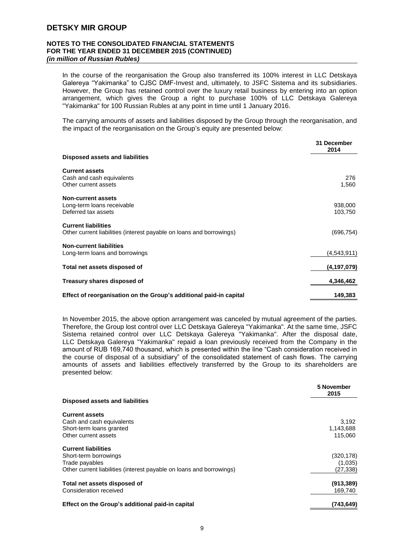#### **NOTES TO THE CONSOLIDATED FINANCIAL STATEMENTS FOR THE YEAR ENDED 31 DECEMBER 2015 (CONTINUED)**  *(in million of Russian Rubles)*

In the course of the reorganisation the Group also transferred its 100% interest in LLC Detskaya Galereya "Yakimanka" to CJSC DMF-Invest and, ultimately, to JSFC Sistema and its subsidiaries. However, the Group has retained control over the luxury retail business by entering into an option arrangement, which gives the Group a right to purchase 100% of LLC Detskaya Galereya "Yakimanka" for 100 Russian Rubles at any point in time until 1 January 2016.

The carrying amounts of assets and liabilities disposed by the Group through the reorganisation, and the impact of the reorganisation on the Group's equity are presented below:

|                                                                                                    | 31 December<br>2014 |
|----------------------------------------------------------------------------------------------------|---------------------|
| Disposed assets and liabilities                                                                    |                     |
| <b>Current assets</b><br>Cash and cash equivalents<br>Other current assets                         | 276<br>1,560        |
| <b>Non-current assets</b><br>Long-term loans receivable<br>Deferred tax assets                     | 938,000<br>103,750  |
| <b>Current liabilities</b><br>Other current liabilities (interest payable on loans and borrowings) | (696, 754)          |
| <b>Non-current liabilities</b><br>Long-term loans and borrowings                                   | (4,543,911)         |
| Total net assets disposed of                                                                       | (4, 197, 079)       |
| Treasury shares disposed of                                                                        | 4,346,462           |
| Effect of reorganisation on the Group's additional paid-in capital                                 | 149,383             |

In November 2015, the above option arrangement was canceled by mutual agreement of the parties. Therefore, the Group lost control over LLC Detskaya Galereya "Yakimanka". At the same time, JSFC Sistema retained control over LLC Detskaya Galereya "Yakimanka". After the disposal date, LLC Detskaya Galereya "Yakimanka" repaid a loan previously received from the Company in the amount of RUB 169,740 thousand, which is presented within the line "Cash consideration received in the course of disposal of a subsidiary" of the consolidated statement of cash flows. The carrying amounts of assets and liabilities effectively transferred by the Group to its shareholders are presented below:

|                                                                      | 5 November<br>2015 |
|----------------------------------------------------------------------|--------------------|
| Disposed assets and liabilities                                      |                    |
| <b>Current assets</b>                                                |                    |
| Cash and cash equivalents                                            | 3,192              |
| Short-term loans granted                                             | 1,143,688          |
| Other current assets                                                 | 115,060            |
| <b>Current liabilities</b>                                           |                    |
| Short-term borrowings                                                | (320, 178)         |
| Trade payables                                                       | (1,035)            |
| Other current liabilities (interest payable on loans and borrowings) | (27, 338)          |
| Total net assets disposed of                                         | (913, 389)         |
| Consideration received                                               | 169.740            |
| Effect on the Group's additional paid-in capital                     | (743, 649)         |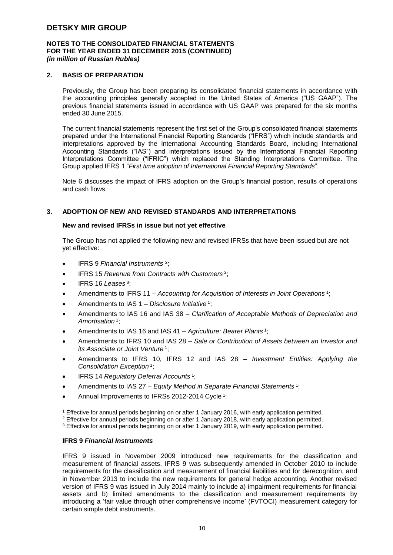#### **NOTES TO THE CONSOLIDATED FINANCIAL STATEMENTS FOR THE YEAR ENDED 31 DECEMBER 2015 (CONTINUED)**  *(in million of Russian Rubles)*

#### **2. BASIS OF PREPARATION**

Previously, the Group has been preparing its consolidated financial statements in accordance with the accounting principles generally accepted in the United States of America ("US GAAP"). The previous financial statements issued in accordance with US GAAP was prepared for the six months ended 30 June 2015.

The current financial statements represent the first set of the Group's consolidated financial statements prepared under the International Financial Reporting Standards ("IFRS") which include standards and interpretations approved by the International Accounting Standards Board, including International Accounting Standards ("IAS") and interpretations issued by the International Financial Reporting Interpretations Committee ("IFRIC") which replaced the Standing Interpretations Committee. The Group applied IFRS 1 "*First time adoption of International Financial Reporting Standards*".

Note 6 discusses the impact of IFRS adoption on the Group's financial postion, results of operations and cash flows.

#### **3. ADOPTION OF NEW AND REVISED STANDARDS AND INTERPRETATIONS**

#### **New and revised IFRSs in issue but not yet effective**

The Group has not applied the following new and revised IFRSs that have been issued but are not yet effective:

- IFRS 9 *Financial Instruments*<sup>2</sup>;
- IFRS 15 *Revenue from Contracts with Customers*<sup>2</sup>;
- IFRS 16 *Leases*<sup>3</sup>;
- Amendments to IFRS 11 *Accounting for Acquisition of Interests in Joint Operations*<sup>1</sup>;
- Amendments to IAS 1 *Disclosure Initiative*<sup>1</sup>;
- Amendments to IAS 16 and IAS 38 *Clarification of Acceptable Methods of Depreciation and Amortisation*<sup>1</sup>;
- Amendments to IAS 16 and IAS 41 *Agriculture: Bearer Plants*<sup>1</sup>;
- Amendments to IFRS 10 and IAS 28 *Sale or Contribution of Assets between an Investor and its Associate or Joint Venture*<sup>1</sup>;
- Amendments to IFRS 10, IFRS 12 and IAS 28 *Investment Entities: Applying the Consolidation Exception*<sup>1</sup>;
- IFRS 14 *Regulatory Deferral Accounts*<sup>1</sup>;
- Amendments to IAS 27 *Equity Method in Separate Financial Statements*<sup>1</sup>;
- Annual Improvements to IFRSs 2012-2014 Cycle<sup>1</sup>;

1 Effective for annual periods beginning on or after 1 January 2016, with early application permitted.

<sup>2</sup> Effective for annual periods beginning on or after 1 January 2018, with early application permitted.

<sup>3</sup> Effective for annual periods beginning on or after 1 January 2019, with early application permitted.

#### **IFRS 9** *Financial Instruments*

IFRS 9 issued in November 2009 introduced new requirements for the classification and measurement of financial assets. IFRS 9 was subsequently amended in October 2010 to include requirements for the classification and measurement of financial liabilities and for derecognition, and in November 2013 to include the new requirements for general hedge accounting. Another revised version of IFRS 9 was issued in July 2014 mainly to include a) impairment requirements for financial assets and b) limited amendments to the classification and measurement requirements by introducing a 'fair value through other comprehensive income' (FVTOCI) measurement category for certain simple debt instruments.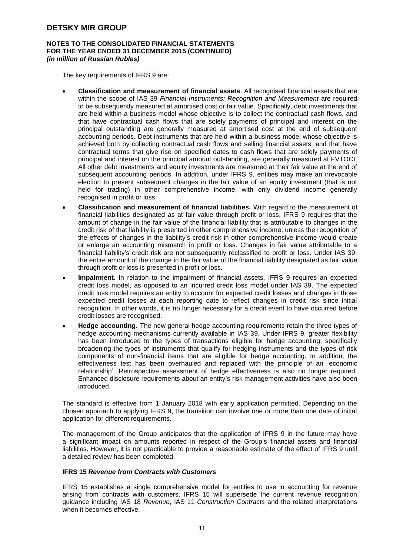#### **NOTES TO THE CONSOLIDATED FINANCIAL STATEMENTS FOR THE YEAR ENDED 31 DECEMBER 2015 (CONTINUED)**  *(in million of Russian Rubles)*

The key requirements of IFRS 9 are:

- **Classification and measurement of financial assets**. All recognised financial assets that are within the scope of IAS 39 *Financial Instruments: Recognition and Measurement* are required to be subsequently measured at amortised cost or fair value. Specifically, debt investments that are held within a business model whose objective is to collect the contractual cash flows, and that have contractual cash flows that are solely payments of principal and interest on the principal outstanding are generally measured at amortised cost at the end of subsequent accounting periods. Debt instruments that are held within a business model whose objective is achieved both by collecting contractual cash flows and selling financial assets, and that have contractual terms that give rise on specified dates to cash flows that are solely payments of principal and interest on the principal amount outstanding, are generally measured at FVTOCI. All other debt investments and equity investments are measured at their fair value at the end of subsequent accounting periods. In addition, under IFRS 9, entities may make an irrevocable election to present subsequent changes in the fair value of an equity investment (that is not held for trading) in other comprehensive income, with only dividend income generally recognised in profit or loss.
- **Classification and measurement of financial liabilities.** With regard to the measurement of financial liabilities designated as at fair value through profit or loss, IFRS 9 requires that the amount of change in the fair value of the financial liability that is attributable to changes in the credit risk of that liability is presented in other comprehensive income, unless the recognition of the effects of changes in the liability's credit risk in other comprehensive income would create or enlarge an accounting mismatch in profit or loss. Changes in fair value attributable to a financial liability's credit risk are not subsequently reclassified to profit or loss. Under IAS 39, the entire amount of the change in the fair value of the financial liability designated as fair value through profit or loss is presented in profit or loss.
- **Impairment.** In relation to the impairment of financial assets, IFRS 9 requires an expected credit loss model, as opposed to an incurred credit loss model under IAS 39. The expected credit loss model requires an entity to account for expected credit losses and changes in those expected credit losses at each reporting date to reflect changes in credit risk since initial recognition. In other words, it is no longer necessary for a credit event to have occurred before credit losses are recognised.
- **Hedge accounting.** The new general hedge accounting requirements retain the three types of hedge accounting mechanisms currently available in IAS 39. Under IFRS 9, greater flexibility has been introduced to the types of transactions eligible for hedge accounting, specifically broadening the types of instruments that qualify for hedging instruments and the types of risk components of non-financial items that are eligible for hedge accounting. In addition, the effectiveness test has been overhauled and replaced with the principle of an 'economic relationship'. Retrospective assessment of hedge effectiveness is also no longer required. Enhanced disclosure requirements about an entity's risk management activities have also been introduced.

The standard is effective from 1 January 2018 with early application permitted. Depending on the chosen approach to applying IFRS 9, the transition can involve one or more than one date of initial application for different requirements.

The management of the Group anticipates that the application of IFRS 9 in the future may have a significant impact on amounts reported in respect of the Group's financial assets and financial liabilities. However, it is not practicable to provide a reasonable estimate of the effect of IFRS 9 until a detailed review has been completed.

#### **IFRS 15** *Revenue from Contracts with Customers*

IFRS 15 establishes a single comprehensive model for entities to use in accounting for revenue arising from contracts with customers. IFRS 15 will supersede the current revenue recognition guidance including IAS 18 *Revenue*, IAS 11 *Construction Contracts* and the related interpretations when it becomes effective.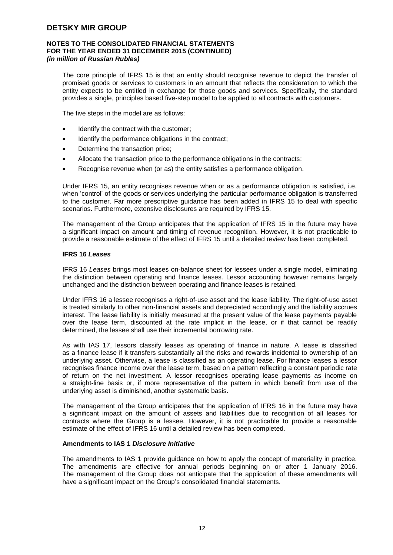#### **NOTES TO THE CONSOLIDATED FINANCIAL STATEMENTS FOR THE YEAR ENDED 31 DECEMBER 2015 (CONTINUED)** *(in million of Russian Rubles)*

The core principle of IFRS 15 is that an entity should recognise revenue to depict the transfer of promised goods or services to customers in an amount that reflects the consideration to which the entity expects to be entitled in exchange for those goods and services. Specifically, the standard provides a single, principles based five-step model to be applied to all contracts with customers.

The five steps in the model are as follows:

- Identify the contract with the customer;
- Identify the performance obligations in the contract;
- Determine the transaction price;
- Allocate the transaction price to the performance obligations in the contracts;
- Recognise revenue when (or as) the entity satisfies a performance obligation.

Under IFRS 15, an entity recognises revenue when or as a performance obligation is satisfied, i.e. when 'control' of the goods or services underlying the particular performance obligation is transferred to the customer. Far more prescriptive guidance has been added in IFRS 15 to deal with specific scenarios. Furthermore, extensive disclosures are required by IFRS 15.

The management of the Group anticipates that the application of IFRS 15 in the future may have a significant impact on amount and timing of revenue recognition. However, it is not practicable to provide a reasonable estimate of the effect of IFRS 15 until a detailed review has been completed.

#### **IFRS 16** *Leases*

IFRS 16 *Leases* brings most leases on-balance sheet for lessees under a single model, eliminating the distinction between operating and finance leases. Lessor accounting however remains largely unchanged and the distinction between operating and finance leases is retained.

Under IFRS 16 a lessee recognises a right-of-use asset and the lease liability. The right-of-use asset is treated similarly to other non-financial assets and depreciated accordingly and the liability accrues interest. The lease liability is initially measured at the present value of the lease payments payable over the lease term, discounted at the rate implicit in the lease, or if that cannot be readily determined, the lessee shall use their incremental borrowing rate.

As with IAS 17, lessors classify leases as operating of finance in nature. A lease is classified as a finance lease if it transfers substantially all the risks and rewards incidental to ownership of an underlying asset. Otherwise, a lease is classified as an operating lease. For finance leases a lessor recognises finance income over the lease term, based on a pattern reflecting a constant periodic rate of return on the net investment. A lessor recognises operating lease payments as income on a straight-line basis or, if more representative of the pattern in which benefit from use of the underlying asset is diminished, another systematic basis.

The management of the Group anticipates that the application of IFRS 16 in the future may have a significant impact on the amount of assets and liabilities due to recognition of all leases for contracts where the Group is a lessee. However, it is not practicable to provide a reasonable estimate of the effect of IFRS 16 until a detailed review has been completed.

#### **Amendments to IAS 1** *Disclosure Initiative*

The amendments to IAS 1 provide guidance on how to apply the concept of materiality in practice. The amendments are effective for annual periods beginning on or after 1 January 2016. The management of the Group does not anticipate that the application of these amendments will have a significant impact on the Group's consolidated financial statements.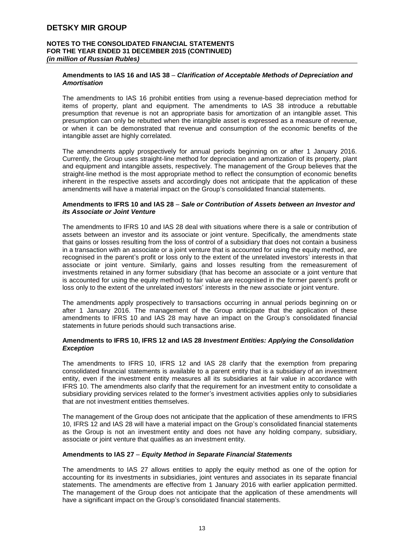#### **NOTES TO THE CONSOLIDATED FINANCIAL STATEMENTS FOR THE YEAR ENDED 31 DECEMBER 2015 (CONTINUED)** *(in million of Russian Rubles)*

#### **Amendments to IAS 16 and IAS 38** – *Clarification of Acceptable Methods of Depreciation and Amortisation*

The amendments to IAS 16 prohibit entities from using a revenue-based depreciation method for items of property, plant and equipment. The amendments to IAS 38 introduce a rebuttable presumption that revenue is not an appropriate basis for amortization of an intangible asset. This presumption can only be rebutted when the intangible asset is expressed as a measure of revenue, or when it can be demonstrated that revenue and consumption of the economic benefits of the intangible asset are highly correlated.

The amendments apply prospectively for annual periods beginning on or after 1 January 2016. Currently, the Group uses straight-line method for depreciation and amortization of its property, plant and equipment and intangible assets, respectively. The management of the Group believes that the straight-line method is the most appropriate method to reflect the consumption of economic benefits inherent in the respective assets and accordingly does not anticipate that the application of these amendments will have a material impact on the Group's consolidated financial statements.

#### **Amendments to IFRS 10 and IAS 28** – *Sale or Contribution of Assets between an Investor and its Associate or Joint Venture*

The amendments to IFRS 10 and IAS 28 deal with situations where there is a sale or contribution of assets between an investor and its associate or joint venture. Specifically, the amendments state that gains or losses resulting from the loss of control of a subsidiary that does not contain a business in a transaction with an associate or a joint venture that is accounted for using the equity method, are recognised in the parent's profit or loss only to the extent of the unrelated investors' interests in that associate or joint venture. Similarly, gains and losses resulting from the remeasurement of investments retained in any former subsidiary (that has become an associate or a joint venture that is accounted for using the equity method) to fair value are recognised in the former parent's profit or loss only to the extent of the unrelated investors' interests in the new associate or joint venture.

The amendments apply prospectively to transactions occurring in annual periods beginning on or after 1 January 2016. The management of the Group anticipate that the application of these amendments to IFRS 10 and IAS 28 may have an impact on the Group's consolidated financial statements in future periods should such transactions arise.

#### **Amendments to IFRS 10, IFRS 12 and IAS 28** *Investment Entities: Applying the Consolidation Exception*

The amendments to IFRS 10, IFRS 12 and IAS 28 clarify that the exemption from preparing consolidated financial statements is available to a parent entity that is a subsidiary of an investment entity, even if the investment entity measures all its subsidiaries at fair value in accordance with IFRS 10. The amendments also clarify that the requirement for an investment entity to consolidate a subsidiary providing services related to the former's investment activities applies only to subsidiaries that are not investment entities themselves.

The management of the Group does not anticipate that the application of these amendments to IFRS 10, IFRS 12 and IAS 28 will have a material impact on the Group's consolidated financial statements as the Group is not an investment entity and does not have any holding company, subsidiary, associate or joint venture that qualifies as an investment entity.

#### **Amendments to IAS 27** – *Equity Method in Separate Financial Statements*

The amendments to IAS 27 allows entities to apply the equity method as one of the option for accounting for its investments in subsidiaries, joint ventures and associates in its separate financial statements. The amendments are effective from 1 January 2016 with earlier application permitted. The management of the Group does not anticipate that the application of these amendments will have a significant impact on the Group's consolidated financial statements.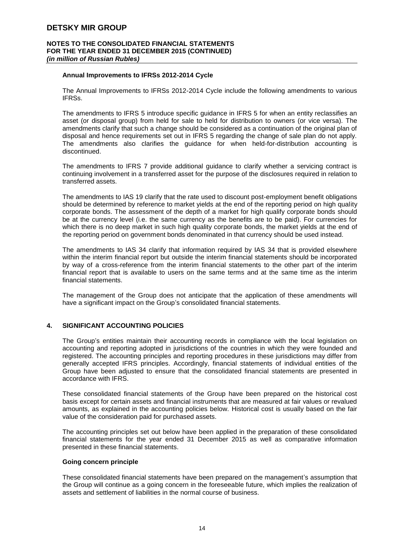#### **NOTES TO THE CONSOLIDATED FINANCIAL STATEMENTS FOR THE YEAR ENDED 31 DECEMBER 2015 (CONTINUED)** *(in million of Russian Rubles)*

#### **Annual Improvements to IFRSs 2012-2014 Cycle**

The Annual Improvements to IFRSs 2012-2014 Cycle include the following amendments to various IFRSs.

The amendments to IFRS 5 introduce specific guidance in IFRS 5 for when an entity reclassifies an asset (or disposal group) from held for sale to held for distribution to owners (or vice versa). The amendments clarify that such a change should be considered as a continuation of the original plan of disposal and hence requirements set out in IFRS 5 regarding the change of sale plan do not apply. The amendments also clarifies the guidance for when held-for-distribution accounting is discontinued.

The amendments to IFRS 7 provide additional guidance to clarify whether a servicing contract is continuing involvement in a transferred asset for the purpose of the disclosures required in relation to transferred assets.

The amendments to IAS 19 clarify that the rate used to discount post-employment benefit obligations should be determined by reference to market yields at the end of the reporting period on high quality corporate bonds. The assessment of the depth of a market for high qualify corporate bonds should be at the currency level (i.e. the same currency as the benefits are to be paid). For currencies for which there is no deep market in such high quality corporate bonds, the market yields at the end of the reporting period on government bonds denominated in that currency should be used instead.

The amendments to IAS 34 clarify that information required by IAS 34 that is provided elsewhere within the interim financial report but outside the interim financial statements should be incorporated by way of a cross-reference from the interim financial statements to the other part of the interim financial report that is available to users on the same terms and at the same time as the interim financial statements.

The management of the Group does not anticipate that the application of these amendments will have a significant impact on the Group's consolidated financial statements.

#### **4. SIGNIFICANT ACCOUNTING POLICIES**

The Group's entities maintain their accounting records in compliance with the local legislation on accounting and reporting adopted in jurisdictions of the countries in which they were founded and registered. The accounting principles and reporting procedures in these jurisdictions may differ from generally accepted IFRS principles. Accordingly, financial statements of individual entities of the Group have been adjusted to ensure that the consolidated financial statements are presented in accordance with IFRS.

These consolidated financial statements of the Group have been prepared on the historical cost basis except for certain assets and financial instruments that are measured at fair values or revalued amounts, as explained in the accounting policies below. Historical cost is usually based on the fair value of the consideration paid for purchased assets.

The accounting principles set out below have been applied in the preparation of these consolidated financial statements for the year ended 31 December 2015 as well as comparative information presented in these financial statements.

#### **Going concern principle**

These consolidated financial statements have been prepared on the management's assumption that the Group will continue as a going concern in the foreseeable future, which implies the realization of assets and settlement of liabilities in the normal course of business.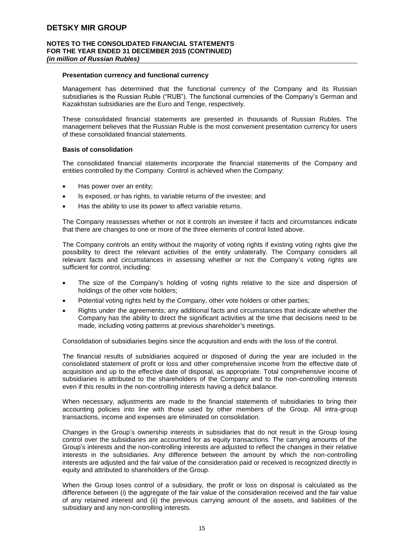#### **NOTES TO THE CONSOLIDATED FINANCIAL STATEMENTS FOR THE YEAR ENDED 31 DECEMBER 2015 (CONTINUED)** *(in million of Russian Rubles)*

#### **Presentation currency and functional currency**

Management has determined that the functional currency of the Company and its Russian subsidiaries is the Russian Ruble ("RUB"). The functional currencies of the Company's German and Kazakhstan subsidiaries are the Euro and Tenge, respectively.

These consolidated financial statements are presented in thousands of Russian Rubles. The management believes that the Russian Ruble is the most convenient presentation currency for users of these consolidated financial statements.

#### **Basis of consolidation**

The consolidated financial statements incorporate the financial statements of the Company and entities controlled by the Company. Control is achieved when the Company:

- Has power over an entity;
- Is exposed, or has rights, to variable returns of the investee; and
- Has the ability to use its power to affect variable returns.

The Company reassesses whether or not it controls an investee if facts and circumstances indicate that there are changes to one or more of the three elements of control listed above.

The Company controls an entity without the majority of voting rights if existing voting rights give the possibility to direct the relevant activities of the entity unilaterally. The Company considers all relevant facts and circumstances in assessing whether or not the Company's voting rights are sufficient for control, including:

- The size of the Company's holding of voting rights relative to the size and dispersion of holdings of the other vote holders;
- Potential voting rights held by the Company, other vote holders or other parties;
- Rights under the agreements; any additional facts and circumstances that indicate whether the Company has the ability to direct the significant activities at the time that decisions need to be made, including voting patterns at previous shareholder's meetings.

Consolidation of subsidiaries begins since the acquisition and ends with the loss of the control.

The financial results of subsidiaries acquired or disposed of during the year are included in the consolidated statement of profit or loss and other comprehensive income from the effective date of acquisition and up to the effective date of disposal, as appropriate. Total comprehensive income of subsidiaries is attributed to the shareholders of the Company and to the non-controlling interests even if this results in the non-controlling interests having a deficit balance.

When necessary, adjustments are made to the financial statements of subsidiaries to bring their accounting policies into line with those used by other members of the Group. All intra-group transactions, income and expenses are eliminated on consolidation.

Changes in the Group's ownership interests in subsidiaries that do not result in the Group losing control over the subsidiaries are accounted for as equity transactions. The carrying amounts of the Group's interests and the non-controlling interests are adjusted to reflect the changes in their relative interests in the subsidiaries. Any difference between the amount by which the non-controlling interests are adjusted and the fair value of the consideration paid or received is recognized directly in equity and attributed to shareholders of the Group.

When the Group loses control of a subsidiary, the profit or loss on disposal is calculated as the difference between (i) the aggregate of the fair value of the consideration received and the fair value of any retained interest and (ii) the previous carrying amount of the assets, and liabilities of the subsidiary and any non-controlling interests.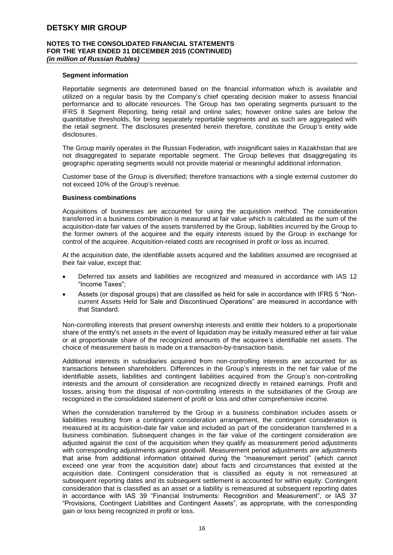#### **NOTES TO THE CONSOLIDATED FINANCIAL STATEMENTS FOR THE YEAR ENDED 31 DECEMBER 2015 (CONTINUED)** *(in million of Russian Rubles)*

#### **Segment information**

Reportable segments are determined based on the financial information which is available and utilized on a regular basis by the Company's chief operating decision maker to assess financial performance and to allocate resources. The Group has two operating segments pursuant to the IFRS 8 Segment Reporting, being retail and online sales; however online sales are below the quantitative thresholds, for being separately reportable segments and as such are aggregated with the retail segment. The disclosures presented herein therefore, constitute the Group's entity wide disclosures.

The Group mainly operates in the Russian Federation, with insignificant sales in Kazakhstan that are not disaggregated to separate reportable segment. The Group believes that disaggregating its geographic operating segments would not provide material or meaningful additional information.

Customer base of the Group is diversified; therefore transactions with a single external customer do not exceed 10% of the Group's revenue.

#### **Business combinations**

Acquisitions of businesses are accounted for using the acquisition method. The consideration transferred in a business combination is measured at fair value which is calculated as the sum of the acquisition-date fair values of the assets transferred by the Group, liabilities incurred by the Group to the former owners of the acquiree and the equity interests issued by the Group in exchange for control of the acquiree. Acquisition-related costs are recognised in profit or loss as incurred.

At the acquisition date, the identifiable assets acquired and the liabilities assumed are recognised at their fair value, except that:

- Deferred tax assets and liabilities are recognized and measured in accordance with IAS 12 "Income Taxes";
- Assets (or disposal groups) that are classified as held for sale in accordance with IFRS 5 "Noncurrent Assets Held for Sale and Discontinued Operations" are measured in accordance with that Standard.

Non-controlling interests that present ownership interests and entitle their holders to a proportionate share of the entity's net assets in the event of liquidation may be initially measured either at fair value or at proportionate share of the recognized amounts of the acquiree's identifiable net assets. The choice of measurement basis is made on a transaction-by-transaction basis.

Additional interests in subsidiaries acquired from non-controlling interests are accounted for as transactions between shareholders. Differences in the Group's interests in the net fair value of the identifiable assets, liabilities and contingent liabilities acquired from the Group's non-controlling interests and the amount of consideration are recognized directly in retained earnings. Profit and losses, arising from the disposal of non-controlling interests in the subsidiaries of the Group are recognized in the consolidated statement of profit or loss and other comprehensive income.

When the consideration transferred by the Group in a business combination includes assets or liabilities resulting from a contingent consideration arrangement, the contingent consideration is measured at its acquisition-date fair value and included as part of the consideration transferred in a business combination. Subsequent changes in the fair value of the contingent consideration are adjusted against the cost of the acquisition when they qualify as measurement period adjustments with corresponding adjustments against goodwill. Measurement period adjustments are adjustments that arise from additional information obtained during the "measurement period" (which cannot exceed one year from the acquisition date) about facts and circumstances that existed at the acquisition date. Contingent consideration that is classified as equity is not remeasured at subsequent reporting dates and its subsequent settlement is accounted for within equity. Contingent consideration that is classified as an asset or a liability is remeasured at subsequent reporting dates in accordance with IAS 39 "Financial Instruments: Recognition and Measurement", or IAS 37 "Provisions, Contingent Liabilities and Contingent Assets", as appropriate, with the corresponding gain or loss being recognized in profit or loss.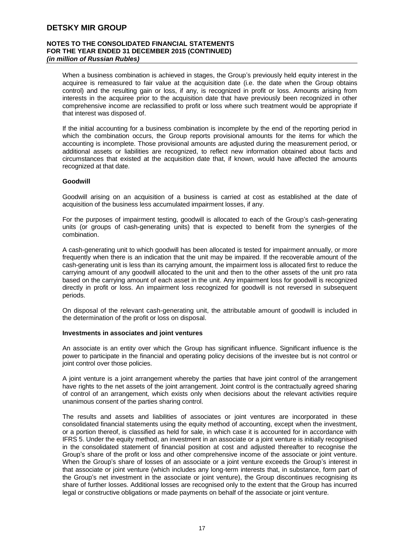#### **NOTES TO THE CONSOLIDATED FINANCIAL STATEMENTS FOR THE YEAR ENDED 31 DECEMBER 2015 (CONTINUED)** *(in million of Russian Rubles)*

When a business combination is achieved in stages, the Group's previously held equity interest in the acquiree is remeasured to fair value at the acquisition date (i.e. the date when the Group obtains control) and the resulting gain or loss, if any, is recognized in profit or loss. Amounts arising from interests in the acquiree prior to the acquisition date that have previously been recognized in other comprehensive income are reclassified to profit or loss where such treatment would be appropriate if that interest was disposed of.

If the initial accounting for a business combination is incomplete by the end of the reporting period in which the combination occurs, the Group reports provisional amounts for the items for which the accounting is incomplete. Those provisional amounts are adjusted during the measurement period, or additional assets or liabilities are recognized, to reflect new information obtained about facts and circumstances that existed at the acquisition date that, if known, would have affected the amounts recognized at that date.

#### **Goodwill**

Goodwill arising on an acquisition of a business is carried at cost as established at the date of acquisition of the business less accumulated impairment losses, if any.

For the purposes of impairment testing, goodwill is allocated to each of the Group's cash-generating units (or groups of cash-generating units) that is expected to benefit from the synergies of the combination.

A cash-generating unit to which goodwill has been allocated is tested for impairment annually, or more frequently when there is an indication that the unit may be impaired. If the recoverable amount of the cash-generating unit is less than its carrying amount, the impairment loss is allocated first to reduce the carrying amount of any goodwill allocated to the unit and then to the other assets of the unit pro rata based on the carrying amount of each asset in the unit. Any impairment loss for goodwill is recognized directly in profit or loss. An impairment loss recognized for goodwill is not reversed in subsequent periods.

On disposal of the relevant cash-generating unit, the attributable amount of goodwill is included in the determination of the profit or loss on disposal.

#### **Investments in associates and joint ventures**

An associate is an entity over which the Group has significant influence. Significant influence is the power to participate in the financial and operating policy decisions of the investee but is not control or joint control over those policies.

A joint venture is a joint arrangement whereby the parties that have joint control of the arrangement have rights to the net assets of the joint arrangement. Joint control is the contractually agreed sharing of control of an arrangement, which exists only when decisions about the relevant activities require unanimous consent of the parties sharing control.

The results and assets and liabilities of associates or joint ventures are incorporated in these consolidated financial statements using the equity method of accounting, except when the investment, or a portion thereof, is classified as held for sale, in which case it is accounted for in accordance with IFRS 5. Under the equity method, an investment in an associate or a joint venture is initially recognised in the consolidated statement of financial position at cost and adjusted thereafter to recognise the Group's share of the profit or loss and other comprehensive income of the associate or joint venture. When the Group's share of losses of an associate or a joint venture exceeds the Group's interest in that associate or joint venture (which includes any long-term interests that, in substance, form part of the Group's net investment in the associate or joint venture), the Group discontinues recognising its share of further losses. Additional losses are recognised only to the extent that the Group has incurred legal or constructive obligations or made payments on behalf of the associate or joint venture.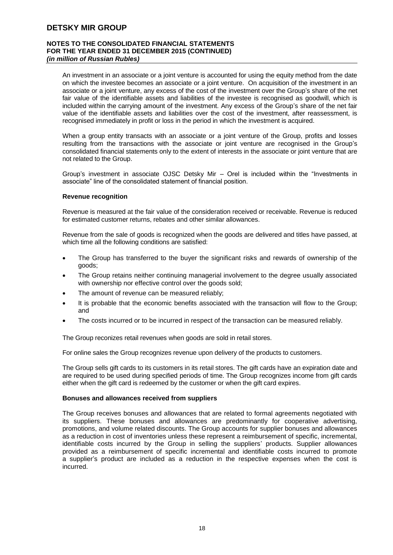#### **NOTES TO THE CONSOLIDATED FINANCIAL STATEMENTS FOR THE YEAR ENDED 31 DECEMBER 2015 (CONTINUED)** *(in million of Russian Rubles)*

An investment in an associate or a joint venture is accounted for using the equity method from the date on which the investee becomes an associate or a joint venture. On acquisition of the investment in an associate or a joint venture, any excess of the cost of the investment over the Group's share of the net fair value of the identifiable assets and liabilities of the investee is recognised as goodwill, which is included within the carrying amount of the investment. Any excess of the Group's share of the net fair value of the identifiable assets and liabilities over the cost of the investment, after reassessment, is recognised immediately in profit or loss in the period in which the investment is acquired.

When a group entity transacts with an associate or a joint venture of the Group, profits and losses resulting from the transactions with the associate or joint venture are recognised in the Group's consolidated financial statements only to the extent of interests in the associate or joint venture that are not related to the Group.

Group's investment in associate OJSC Detsky Mir – Orel is included within the "Investments in associate" line of the consolidated statement of financial position.

#### **Revenue recognition**

Revenue is measured at the fair value of the consideration received or receivable. Revenue is reduced for estimated customer returns, rebates and other similar allowances.

Revenue from the sale of goods is recognized when the goods are delivered and titles have passed, at which time all the following conditions are satisfied:

- The Group has transferred to the buyer the significant risks and rewards of ownership of the goods;
- The Group retains neither continuing managerial involvement to the degree usually associated with ownership nor effective control over the goods sold;
- The amount of revenue can be measured reliably;
- It is probable that the economic benefits associated with the transaction will flow to the Group; and
- The costs incurred or to be incurred in respect of the transaction can be measured reliably.

The Group reconizes retail revenues when goods are sold in retail stores.

For online sales the Group recognizes revenue upon delivery of the products to customers.

The Group sells gift cards to its customers in its retail stores. The gift cards have an expiration date and are required to be used during specified periods of time. The Group recognizes income from gift cards either when the gift card is redeemed by the customer or when the gift card expires.

#### **Bonuses and allowances received from suppliers**

The Group receives bonuses and allowances that are related to formal agreements negotiated with its suppliers. These bonuses and allowances are predominantly for cooperative advertising, promotions, and volume related discounts. The Group accounts for supplier bonuses and allowances as a reduction in cost of inventories unless these represent a reimbursement of specific, incremental, identifiable costs incurred by the Group in selling the suppliers' products. Supplier allowances provided as a reimbursement of specific incremental and identifiable costs incurred to promote a supplier's product are included as a reduction in the respective expenses when the cost is incurred.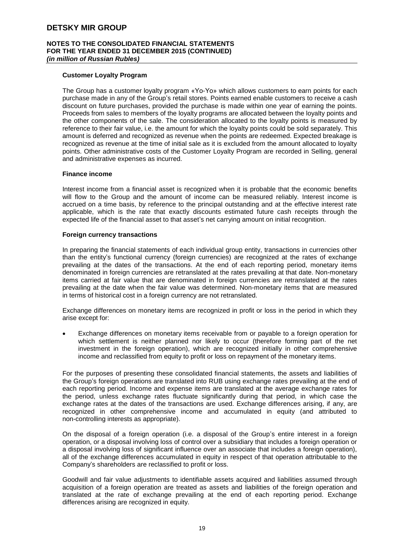#### **NOTES TO THE CONSOLIDATED FINANCIAL STATEMENTS FOR THE YEAR ENDED 31 DECEMBER 2015 (CONTINUED)** *(in million of Russian Rubles)*

#### **Customer Loyalty Program**

The Group has a customer loyalty program «Yo-Yo» which allows customers to earn points for each purchase made in any of the Group's retail stores. Points earned enable customers to receive a cash discount on future purchases, provided the purchase is made within one year of earning the points. Proceeds from sales to members of the loyalty programs are allocated between the loyalty points and the other components of the sale. The consideration allocated to the loyalty points is measured by reference to their fair value, i.e. the amount for which the loyalty points could be sold separately. This amount is deferred and recognized as revenue when the points are redeemed. Expected breakage is recognized as revenue at the time of initial sale as it is excluded from the amount allocated to loyalty points. Other administrative costs of the Customer Loyalty Program are recorded in Selling, general and administrative expenses as incurred.

#### **Finance income**

Interest income from a financial asset is recognized when it is probable that the economic benefits will flow to the Group and the amount of income can be measured reliably. Interest income is accrued on a time basis, by reference to the principal outstanding and at the effective interest rate applicable, which is the rate that exactly discounts estimated future cash receipts through the expected life of the financial asset to that asset's net carrying amount on initial recognition.

#### **Foreign currency transactions**

In preparing the financial statements of each individual group entity, transactions in currencies other than the entity's functional currency (foreign currencies) are recognized at the rates of exchange prevailing at the dates of the transactions. At the end of each reporting period, monetary items denominated in foreign currencies are retranslated at the rates prevailing at that date. Non-monetary items carried at fair value that are denominated in foreign currencies are retranslated at the rates prevailing at the date when the fair value was determined. Non-monetary items that are measured in terms of historical cost in a foreign currency are not retranslated.

Exchange differences on monetary items are recognized in profit or loss in the period in which they arise except for:

 Exchange differences on monetary items receivable from or payable to a foreign operation for which settlement is neither planned nor likely to occur (therefore forming part of the net investment in the foreign operation), which are recognized initially in other comprehensive income and reclassified from equity to profit or loss on repayment of the monetary items.

For the purposes of presenting these consolidated financial statements, the assets and liabilities of the Group's foreign operations are translated into RUB using exchange rates prevailing at the end of each reporting period. Income and expense items are translated at the average exchange rates for the period, unless exchange rates fluctuate significantly during that period, in which case the exchange rates at the dates of the transactions are used. Exchange differences arising, if any, are recognized in other comprehensive income and accumulated in equity (and attributed to non-controlling interests as appropriate).

On the disposal of a foreign operation (i.e. a disposal of the Group's entire interest in a foreign operation, or a disposal involving loss of control over a subsidiary that includes a foreign operation or a disposal involving loss of significant influence over an associate that includes a foreign operation), all of the exchange differences accumulated in equity in respect of that operation attributable to the Company's shareholders are reclassified to profit or loss.

Goodwill and fair value adjustments to identifiable assets acquired and liabilities assumed through acquisition of a foreign operation are treated as assets and liabilities of the foreign operation and translated at the rate of exchange prevailing at the end of each reporting period. Exchange differences arising are recognized in equity.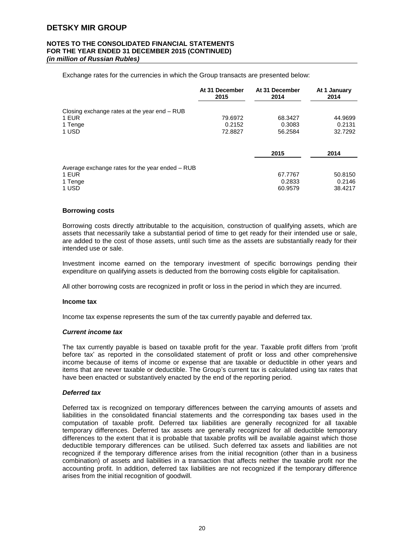#### **NOTES TO THE CONSOLIDATED FINANCIAL STATEMENTS FOR THE YEAR ENDED 31 DECEMBER 2015 (CONTINUED)** *(in million of Russian Rubles)*

Exchange rates for the currencies in which the Group transacts are presented below:

|                                                                              | At 31 December<br>2015       | At 31 December<br>2014       | At 1 January<br>2014         |
|------------------------------------------------------------------------------|------------------------------|------------------------------|------------------------------|
| Closing exchange rates at the year end - RUB<br>1 EUR<br>1 Tenge<br>1 USD    | 79.6972<br>0.2152<br>72.8827 | 68.3427<br>0.3083<br>56.2584 | 44.9699<br>0.2131<br>32.7292 |
|                                                                              |                              | 2015                         | 2014                         |
| Average exchange rates for the year ended – RUB<br>1 EUR<br>1 Tenge<br>1 USD |                              | 67.7767<br>0.2833<br>60.9579 | 50.8150<br>0.2146<br>38.4217 |

#### **Borrowing costs**

Borrowing costs directly attributable to the acquisition, construction of qualifying assets, which are assets that necessarily take a substantial period of time to get ready for their intended use or sale, are added to the cost of those assets, until such time as the assets are substantially ready for their intended use or sale.

Investment income earned on the temporary investment of specific borrowings pending their expenditure on qualifying assets is deducted from the borrowing costs eligible for capitalisation.

All other borrowing costs are recognized in profit or loss in the period in which they are incurred.

#### **Income tax**

Income tax expense represents the sum of the tax currently payable and deferred tax.

#### *Current income tax*

The tax currently payable is based on taxable profit for the year. Taxable profit differs from 'profit before tax' as reported in the consolidated statement of profit or loss and other comprehensive income because of items of income or expense that are taxable or deductible in other years and items that are never taxable or deductible. The Group's current tax is calculated using tax rates that have been enacted or substantively enacted by the end of the reporting period.

#### *Deferred tax*

Deferred tax is recognized on temporary differences between the carrying amounts of assets and liabilities in the consolidated financial statements and the corresponding tax bases used in the computation of taxable profit. Deferred tax liabilities are generally recognized for all taxable temporary differences. Deferred tax assets are generally recognized for all deductible temporary differences to the extent that it is probable that taxable profits will be available against which those deductible temporary differences can be utilised. Such deferred tax assets and liabilities are not recognized if the temporary difference arises from the initial recognition (other than in a business combination) of assets and liabilities in a transaction that affects neither the taxable profit nor the accounting profit. In addition, deferred tax liabilities are not recognized if the temporary difference arises from the initial recognition of goodwill.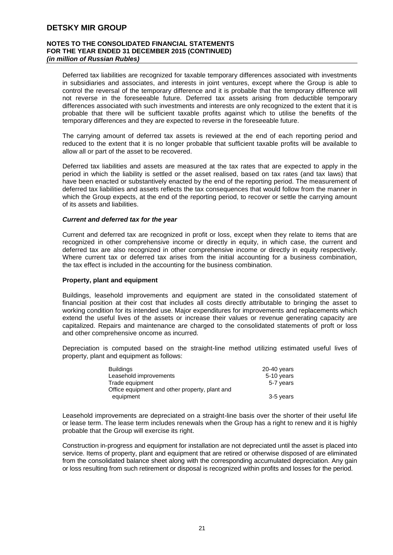#### **NOTES TO THE CONSOLIDATED FINANCIAL STATEMENTS FOR THE YEAR ENDED 31 DECEMBER 2015 (CONTINUED)** *(in million of Russian Rubles)*

Deferred tax liabilities are recognized for taxable temporary differences associated with investments in subsidiaries and associates, and interests in joint ventures, except where the Group is able to control the reversal of the temporary difference and it is probable that the temporary difference will not reverse in the foreseeable future. Deferred tax assets arising from deductible temporary differences associated with such investments and interests are only recognized to the extent that it is probable that there will be sufficient taxable profits against which to utilise the benefits of the temporary differences and they are expected to reverse in the foreseeable future.

The carrying amount of deferred tax assets is reviewed at the end of each reporting period and reduced to the extent that it is no longer probable that sufficient taxable profits will be available to allow all or part of the asset to be recovered.

Deferred tax liabilities and assets are measured at the tax rates that are expected to apply in the period in which the liability is settled or the asset realised, based on tax rates (and tax laws) that have been enacted or substantively enacted by the end of the reporting period. The measurement of deferred tax liabilities and assets reflects the tax consequences that would follow from the manner in which the Group expects, at the end of the reporting period, to recover or settle the carrying amount of its assets and liabilities.

#### *Current and deferred tax for the year*

Current and deferred tax are recognized in profit or loss, except when they relate to items that are recognized in other comprehensive income or directly in equity, in which case, the current and deferred tax are also recognized in other comprehensive income or directly in equity respectively. Where current tax or deferred tax arises from the initial accounting for a business combination, the tax effect is included in the accounting for the business combination.

#### **Property, plant and equipment**

Buildings, leasehold improvements and equipment are stated in the consolidated statement of financial position at their cost that includes all costs directly attributable to bringing the asset to working condition for its intended use. Major expenditures for improvements and replacements which extend the useful lives of the assets or increase their values or revenue generating capacity are capitalized. Repairs and maintenance are charged to the consolidated statements of proft or loss and other comprehensive oncome as incurred.

Depreciation is computed based on the straight-line method utilizing estimated useful lives of property, plant and equipment as follows:

| <b>Buildings</b>                               | $20-40$ years |
|------------------------------------------------|---------------|
| Leasehold improvements                         | 5-10 years    |
| Trade equipment                                | 5-7 years     |
| Office equipment and other property, plant and |               |
| equipment                                      | 3-5 years     |

Leasehold improvements are depreciated on a straight-line basis over the shorter of their useful life or lease term. The lease term includes renewals when the Group has a right to renew and it is highly probable that the Group will exercise its right.

Construction in-progress and equipment for installation are not depreciated until the asset is placed into service. Items of property, plant and equipment that are retired or otherwise disposed of are eliminated from the consolidated balance sheet along with the corresponding accumulated depreciation. Any gain or loss resulting from such retirement or disposal is recognized within profits and losses for the period.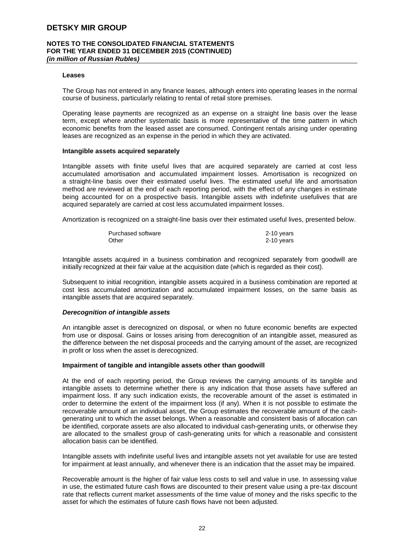#### **NOTES TO THE CONSOLIDATED FINANCIAL STATEMENTS FOR THE YEAR ENDED 31 DECEMBER 2015 (CONTINUED)** *(in million of Russian Rubles)*

#### **Leases**

The Group has not entered in any finance leases, although enters into operating leases in the normal course of business, particularly relating to rental of retail store premises.

Operating lease payments are recognized as an expense on a straight line basis over the lease term, except where another systematic basis is more representative of the time pattern in which economic benefits from the leased asset are consumed. Contingent rentals arising under operating leases are recognized as an expense in the period in which they are activated.

#### **Intangible assets acquired separately**

Intangible assets with finite useful lives that are acquired separately are carried at cost less accumulated amortisation and accumulated impairment losses. Amortisation is recognized on a straight-line basis over their estimated useful lives. The estimated useful life and amortisation method are reviewed at the end of each reporting period, with the effect of any changes in estimate being accounted for on a prospective basis. Intangible assets with indefinite usefulives that are acquired separately are carried at cost less accumulated impairment losses.

Amortization is recognized on a straight-line basis over their estimated useful lives, presented below.

| Purchased software | 2-10 years |
|--------------------|------------|
| Other              | 2-10 years |

Intangible assets acquired in a business combination and recognized separately from goodwill are initially recognized at their fair value at the acquisition date (which is regarded as their cost).

Subsequent to initial recognition, intangible assets acquired in a business combination are reported at cost less accumulated amortization and accumulated impairment losses, on the same basis as intangible assets that are acquired separately.

#### *Derecognition of intangible assets*

An intangible asset is derecognized on disposal, or when no future economic benefits are expected from use or disposal. Gains or losses arising from derecognition of an intangible asset, measured as the difference between the net disposal proceeds and the carrying amount of the asset, are recognized in profit or loss when the asset is derecognized.

#### **Impairment of tangible and intangible assets other than goodwill**

At the end of each reporting period, the Group reviews the carrying amounts of its tangible and intangible assets to determine whether there is any indication that those assets have suffered an impairment loss. If any such indication exists, the recoverable amount of the asset is estimated in order to determine the extent of the impairment loss (if any). When it is not possible to estimate the recoverable amount of an individual asset, the Group estimates the recoverable amount of the cashgenerating unit to which the asset belongs. When a reasonable and consistent basis of allocation can be identified, corporate assets are also allocated to individual cash-generating units, or otherwise they are allocated to the smallest group of cash-generating units for which a reasonable and consistent allocation basis can be identified.

Intangible assets with indefinite useful lives and intangible assets not yet available for use are tested for impairment at least annually, and whenever there is an indication that the asset may be impaired.

Recoverable amount is the higher of fair value less costs to sell and value in use. In assessing value in use, the estimated future cash flows are discounted to their present value using a pre-tax discount rate that reflects current market assessments of the time value of money and the risks specific to the asset for which the estimates of future cash flows have not been adjusted.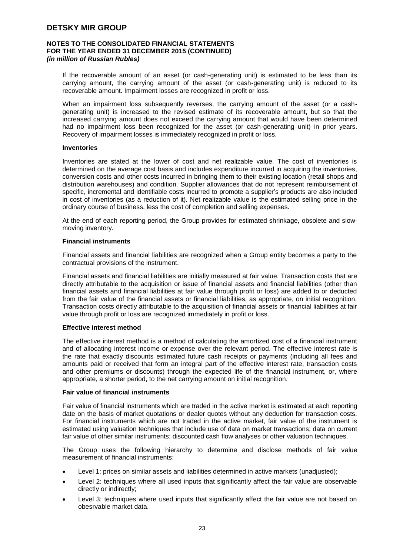#### **NOTES TO THE CONSOLIDATED FINANCIAL STATEMENTS FOR THE YEAR ENDED 31 DECEMBER 2015 (CONTINUED)** *(in million of Russian Rubles)*

If the recoverable amount of an asset (or cash-generating unit) is estimated to be less than its carrying amount, the carrying amount of the asset (or cash-generating unit) is reduced to its recoverable amount. Impairment losses are recognized in profit or loss.

When an impairment loss subsequently reverses, the carrying amount of the asset (or a cashgenerating unit) is increased to the revised estimate of its recoverable amount, but so that the increased carrying amount does not exceed the carrying amount that would have been determined had no impairment loss been recognized for the asset (or cash-generating unit) in prior years. Recovery of impairment losses is immediately recognized in profit or loss.

#### **Inventories**

Inventories are stated at the lower of cost and net realizable value. The cost of inventories is determined on the average cost basis and includes expenditure incurred in acquiring the inventories, conversion costs and other costs incurred in bringing them to their existing location (retail shops and distribution warehouses) and condition. Supplier allowances that do not represent reimbursement of specific, incremental and identifiable costs incurred to promote a supplier's products are also included in cost of inventories (as a reduction of it). Net realizable value is the estimated selling price in the ordinary course of business, less the cost of completion and selling expenses.

At the end of each reporting period, the Group provides for estimated shrinkage, obsolete and slowmoving inventory.

#### **Financial instruments**

Financial assets and financial liabilities are recognized when a Group entity becomes a party to the contractual provisions of the instrument.

Financial assets and financial liabilities are initially measured at fair value. Transaction costs that are directly attributable to the acquisition or issue of financial assets and financial liabilities (other than financial assets and financial liabilities at fair value through profit or loss) are added to or deducted from the fair value of the financial assets or financial liabilities, as appropriate, on initial recognition. Transaction costs directly attributable to the acquisition of financial assets or financial liabilities at fair value through profit or loss are recognized immediately in profit or loss.

#### **Effective interest method**

The effective interest method is a method of calculating the amortized cost of a financial instrument and of allocating interest income or expense over the relevant period. The effective interest rate is the rate that exactly discounts estimated future cash receipts or payments (including all fees and amounts paid or received that form an integral part of the effective interest rate, transaction costs and other premiums or discounts) through the expected life of the financial instrument, or, where appropriate, a shorter period, to the net carrying amount on initial recognition.

#### **Fair value of financial instruments**

Fair value of financial instruments which are traded in the active market is estimated at each reporting date on the basis of market quotations or dealer quotes without any deduction for transaction costs. For financial instruments which are not traded in the active market, fair value of the instrument is estimated using valuation techniques that include use of data on market transactions; data on current fair value of other similar instruments; discounted cash flow analyses or other valuation techniques.

The Group uses the following hierarchy to determine and disclose methods of fair value measurement of financial instruments:

- Level 1: prices on similar assets and liabilities determined in active markets (unadjusted);
- Level 2: techniques where all used inputs that significantly affect the fair value are observable directly or indirectly;
- Level 3: techniques where used inputs that significantly affect the fair value are not based on obesrvable market data.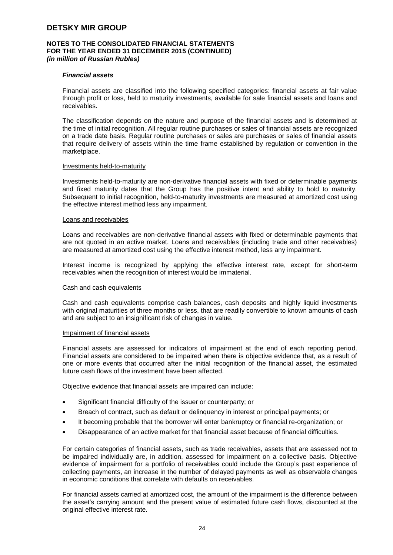#### **NOTES TO THE CONSOLIDATED FINANCIAL STATEMENTS FOR THE YEAR ENDED 31 DECEMBER 2015 (CONTINUED)** *(in million of Russian Rubles)*

#### *Financial assets*

Financial assets are classified into the following specified categories: financial assets at fair value through profit or loss, held to maturity investments, available for sale financial assets and loans and receivables.

The classification depends on the nature and purpose of the financial assets and is determined at the time of initial recognition. All regular routine purchases or sales of financial assets are recognized on a trade date basis. Regular routine purchases or sales are purchases or sales of financial assets that require delivery of assets within the time frame established by regulation or convention in the marketplace.

#### Investments held-to-maturity

Investments held-to-maturity are non-derivative financial assets with fixed or determinable payments and fixed maturity dates that the Group has the positive intent and ability to hold to maturity. Subsequent to initial recognition, held-to-maturity investments are measured at amortized cost using the effective interest method less any impairment.

#### Loans and receivables

Loans and receivables are non-derivative financial assets with fixed or determinable payments that are not quoted in an active market. Loans and receivables (including trade and other receivables) are measured at amortized cost using the effective interest method, less any impairment.

Interest income is recognized by applying the effective interest rate, except for short-term receivables when the recognition of interest would be immaterial.

#### Cash and cash equivalents

Cash and cash equivalents comprise cash balances, cash deposits and highly liquid investments with original maturities of three months or less, that are readily convertible to known amounts of cash and are subject to an insignificant risk of changes in value.

#### Impairment of financial assets

Financial assets are assessed for indicators of impairment at the end of each reporting period. Financial assets are considered to be impaired when there is objective evidence that, as a result of one or more events that occurred after the initial recognition of the financial asset, the estimated future cash flows of the investment have been affected.

Objective evidence that financial assets are impaired can include:

- Significant financial difficulty of the issuer or counterparty; or
- Breach of contract, such as default or delinquency in interest or principal payments; or
- It becoming probable that the borrower will enter bankruptcy or financial re-organization; or
- Disappearance of an active market for that financial asset because of financial difficulties.

For certain categories of financial assets, such as trade receivables, assets that are assessed not to be impaired individually are, in addition, assessed for impairment on a collective basis. Objective evidence of impairment for a portfolio of receivables could include the Group's past experience of collecting payments, an increase in the number of delayed payments as well as observable changes in economic conditions that correlate with defaults on receivables.

For financial assets carried at amortized cost, the amount of the impairment is the difference between the asset's carrying amount and the present value of estimated future cash flows, discounted at the original effective interest rate.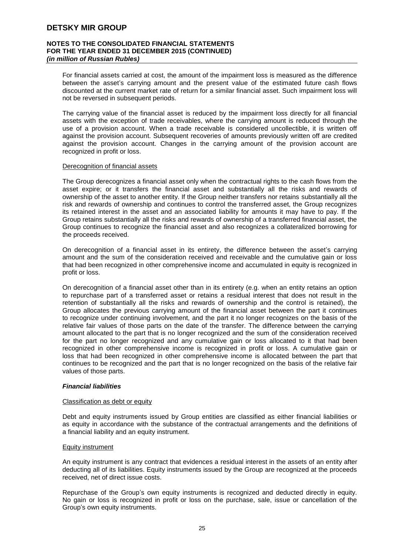#### **NOTES TO THE CONSOLIDATED FINANCIAL STATEMENTS FOR THE YEAR ENDED 31 DECEMBER 2015 (CONTINUED)** *(in million of Russian Rubles)*

For financial assets carried at cost, the amount of the impairment loss is measured as the difference between the asset's carrying amount and the present value of the estimated future cash flows discounted at the current market rate of return for a similar financial asset. Such impairment loss will not be reversed in subsequent periods.

The carrying value of the financial asset is reduced by the impairment loss directly for all financial assets with the exception of trade receivables, where the carrying amount is reduced through the use of a provision account. When a trade receivable is considered uncollectible, it is written off against the provision account. Subsequent recoveries of amounts previously written off are credited against the provision account. Changes in the carrying amount of the provision account are recognized in profit or loss.

#### Derecognition of financial assets

The Group derecognizes a financial asset only when the contractual rights to the cash flows from the asset expire; or it transfers the financial asset and substantially all the risks and rewards of ownership of the asset to another entity. If the Group neither transfers nor retains substantially all the risk and rewards of ownership and continues to control the transferred asset, the Group recognizes its retained interest in the asset and an associated liability for amounts it may have to pay. If the Group retains substantially all the risks and rewards of ownership of a transferred financial asset, the Group continues to recognize the financial asset and also recognizes a collateralized borrowing for the proceeds received.

On derecognition of a financial asset in its entirety, the difference between the asset's carrying amount and the sum of the consideration received and receivable and the cumulative gain or loss that had been recognized in other comprehensive income and accumulated in equity is recognized in profit or loss.

On derecognition of a financial asset other than in its entirety (e.g. when an entity retains an option to repurchase part of a transferred asset or retains a residual interest that does not result in the retention of substantially all the risks and rewards of ownership and the control is retained), the Group allocates the previous carrying amount of the financial asset between the part it continues to recognize under continuing involvement, and the part it no longer recognizes on the basis of the relative fair values of those parts on the date of the transfer. The difference between the carrying amount allocated to the part that is no longer recognized and the sum of the consideration received for the part no longer recognized and any cumulative gain or loss allocated to it that had been recognized in other comprehensive income is recognized in profit or loss. A cumulative gain or loss that had been recognized in other comprehensive income is allocated between the part that continues to be recognized and the part that is no longer recognized on the basis of the relative fair values of those parts.

#### *Financial liabilities*

#### Classification as debt or equity

Debt and equity instruments issued by Group entities are classified as either financial liabilities or as equity in accordance with the substance of the contractual arrangements and the definitions of a financial liability and an equity instrument.

#### Equity instrument

An equity instrument is any contract that evidences a residual interest in the assets of an entity after deducting all of its liabilities. Equity instruments issued by the Group are recognized at the proceeds received, net of direct issue costs.

Repurchase of the Group's own equity instruments is recognized and deducted directly in equity. No gain or loss is recognized in profit or loss on the purchase, sale, issue or cancellation of the Group's own equity instruments.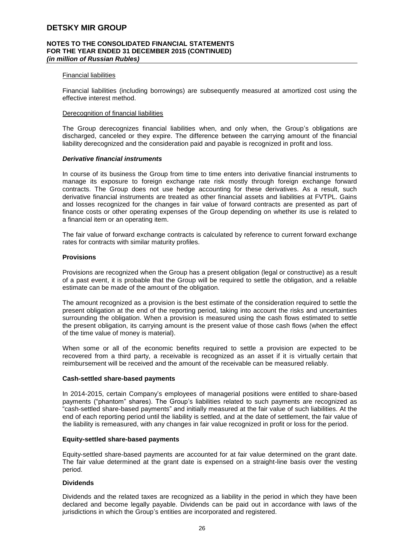#### **NOTES TO THE CONSOLIDATED FINANCIAL STATEMENTS FOR THE YEAR ENDED 31 DECEMBER 2015 (CONTINUED)** *(in million of Russian Rubles)*

#### Financial liabilities

Financial liabilities (including borrowings) are subsequently measured at amortized cost using the effective interest method.

#### Derecognition of financial liabilities

The Group derecognizes financial liabilities when, and only when, the Group's obligations are discharged, canceled or they expire. The difference between the carrying amount of the financial liability derecognized and the consideration paid and payable is recognized in profit and loss.

#### *Derivative financial instruments*

In course of its business the Group from time to time enters into derivative financial instruments to manage its exposure to foreign exchange rate risk mostly through foreign exchange forward contracts. The Group does not use hedge accounting for these derivatives. As a result, such derivative financial instruments are treated as other financial assets and liabilities at FVTPL. Gains and losses recognized for the changes in fair value of forward contracts are presented as part of finance costs or other operating expenses of the Group depending on whether its use is related to a financial item or an operating item.

The fair value of forward exchange contracts is calculated by reference to current forward exchange rates for contracts with similar maturity profiles.

#### **Provisions**

Provisions are recognized when the Group has a present obligation (legal or constructive) as a result of a past event, it is probable that the Group will be required to settle the obligation, and a reliable estimate can be made of the amount of the obligation.

The amount recognized as a provision is the best estimate of the consideration required to settle the present obligation at the end of the reporting period, taking into account the risks and uncertainties surrounding the obligation. When a provision is measured using the cash flows estimated to settle the present obligation, its carrying amount is the present value of those cash flows (when the effect of the time value of money is material).

When some or all of the economic benefits required to settle a provision are expected to be recovered from a third party, a receivable is recognized as an asset if it is virtually certain that reimbursement will be received and the amount of the receivable can be measured reliably.

#### **Cash-settled share-based payments**

In 2014-2015, certain Company's employees of managerial positions were entitled to share-based payments ("phantom" shares). The Group's liabilities related to such payments are recognized as "cash-settled share-based payments" and initially measured at the fair value of such liabilities. At the end of each reporting period until the liability is settled, and at the date of settlement, the fair value of the liability is remeasured, with any changes in fair value recognized in profit or loss for the period.

#### **Equity-settled share-based payments**

Equity-settled share-based payments are accounted for at fair value determined on the grant date. The fair value determined at the grant date is expensed on a straight-line basis over the vesting period.

#### **Dividends**

Dividends and the related taxes are recognized as a liability in the period in which they have been declared and become legally payable. Dividends can be paid out in accordance with laws of the jurisdictions in which the Group's entities are incorporated and registered.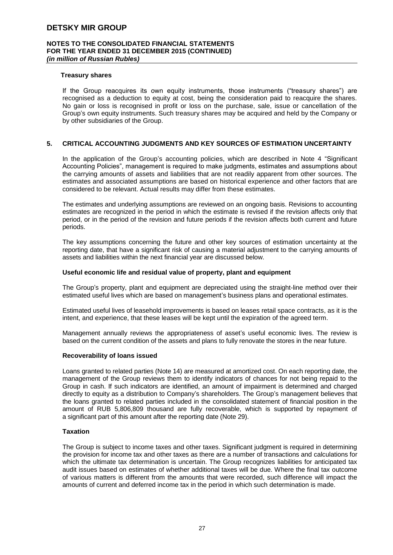#### **NOTES TO THE CONSOLIDATED FINANCIAL STATEMENTS FOR THE YEAR ENDED 31 DECEMBER 2015 (CONTINUED)** *(in million of Russian Rubles)*

#### **Treasury shares**

If the Group reacquires its own equity instruments, those instruments ("treasury shares") are recognised as a deduction to equity at cost, being the consideration paid to reacquire the shares. No gain or loss is recognised in profit or loss on the purchase, sale, issue or cancellation of the Group's own equity instruments. Such treasury shares may be acquired and held by the Company or by other subsidiaries of the Group.

#### **5. CRITICAL ACCOUNTING JUDGMENTS AND KEY SOURCES OF ESTIMATION UNCERTAINTY**

In the application of the Group's accounting policies, which are described in Note 4 "Significant Accounting Policies", management is required to make judgments, estimates and assumptions about the carrying amounts of assets and liabilities that are not readily apparent from other sources. The estimates and associated assumptions are based on historical experience and other factors that are considered to be relevant. Actual results may differ from these estimates.

The estimates and underlying assumptions are reviewed on an ongoing basis. Revisions to accounting estimates are recognized in the period in which the estimate is revised if the revision affects only that period, or in the period of the revision and future periods if the revision affects both current and future periods.

The key assumptions concerning the future and other key sources of estimation uncertainty at the reporting date, that have a significant risk of causing a material adjustment to the carrying amounts of assets and liabilities within the next financial year are discussed below.

#### **Useful economic life and residual value of property, plant and equipment**

The Group's property, plant and equipment are depreciated using the straight-line method over their estimated useful lives which are based on management's business plans and operational estimates.

Estimated useful lives of leasehold improvements is based on leases retail space contracts, as it is the intent, and experience, that these leases will be kept until the expiration of the agreed term.

Management annually reviews the appropriateness of asset's useful economic lives. The review is based on the current condition of the assets and plans to fully renovate the stores in the near future.

#### **Recoverability of loans issued**

Loans granted to related parties (Note 14) are measured at amortized cost. On each reporting date, the management of the Group reviews them to identify indicators of chances for not being repaid to the Group in cash. If such indicators are identified, an amount of impairment is determined and charged directly to equity as a distribution to Company's shareholders. The Group's management believes that the loans granted to related parties included in the consolidated statement of financial position in the amount of RUB 5,806,809 thousand are fully recoverable, which is supported by repayment of a significant part of this amount after the reporting date (Note 29).

#### **Taxation**

The Group is subject to income taxes and other taxes. Significant judgment is required in determining the provision for income tax and other taxes as there are a number of transactions and calculations for which the ultimate tax determination is uncertain. The Group recognizes liabilities for anticipated tax audit issues based on estimates of whether additional taxes will be due. Where the final tax outcome of various matters is different from the amounts that were recorded, such difference will impact the amounts of current and deferred income tax in the period in which such determination is made.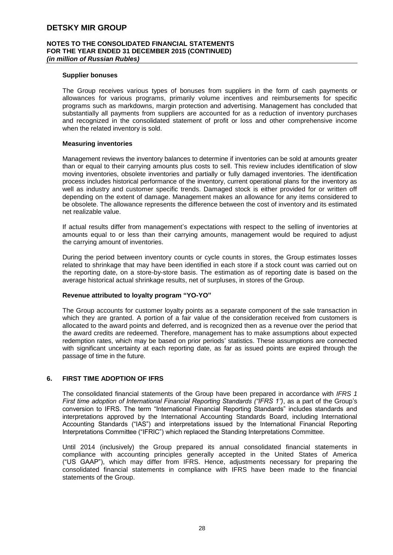#### **NOTES TO THE CONSOLIDATED FINANCIAL STATEMENTS FOR THE YEAR ENDED 31 DECEMBER 2015 (CONTINUED)** *(in million of Russian Rubles)*

#### **Supplier bonuses**

The Group receives various types of bonuses from suppliers in the form of cash payments or allowances for various programs, primarily volume incentives and reimbursements for specific programs such as markdowns, margin protection and advertising. Management has concluded that substantially all payments from suppliers are accounted for as a reduction of inventory purchases and recognized in the consolidated statement of profit or loss and other comprehensive income when the related inventory is sold.

#### **Measuring inventories**

Management reviews the inventory balances to determine if inventories can be sold at amounts greater than or equal to their carrying amounts plus costs to sell. This review includes identification of slow moving inventories, obsolete inventories and partially or fully damaged inventories. The identification process includes historical performance of the inventory, current operational plans for the inventory as well as industry and customer specific trends. Damaged stock is either provided for or written off depending on the extent of damage. Management makes an allowance for any items considered to be obsolete. The allowance represents the difference between the cost of inventory and its estimated net realizable value.

If actual results differ from management's expectations with respect to the selling of inventories at amounts equal to or less than their carrying amounts, management would be required to adjust the carrying amount of inventories.

During the period between inventory counts or cycle counts in stores, the Group estimates losses related to shrinkage that may have been identified in each store if a stock count was carried out on the reporting date, on a store-by-store basis. The estimation as of reporting date is based on the average historical actual shrinkage results, net of surpluses, in stores of the Group.

#### **Revenue attributed to loyalty program "YO-YO"**

The Group accounts for customer loyalty points as a separate component of the sale transaction in which they are granted. A portion of a fair value of the consideration received from customers is allocated to the award points and deferred, and is recognized then as a revenue over the period that the award credits are redeemed. Therefore, management has to make assumptions about expected redemption rates, which may be based on prior periods' statistics. These assumptions are connected with significant uncertainty at each reporting date, as far as issued points are expired through the passage of time in the future.

#### **6. FIRST TIME ADOPTION OF IFRS**

The consolidated financial statements of the Group have been prepared in accordance with *IFRS 1 First time adoption of International Financial Reporting Standards ("IFRS 1")*, as a part of the Group's conversion to IFRS. The term "International Financial Reporting Standards" includes standards and interpretations approved by the International Accounting Standards Board, including International Accounting Standards ("IAS") and interpretations issued by the International Financial Reporting Interpretations Committee ("IFRIC") which replaced the Standing Interpretations Committee.

Until 2014 (inclusively) the Group prepared its annual consolidated financial statements in compliance with accounting principles generally accepted in the United States of America ("US GAAP"), which may differ from IFRS. Hence, adjustments necessary for preparing the consolidated financial statements in compliance with IFRS have been made to the financial statements of the Group.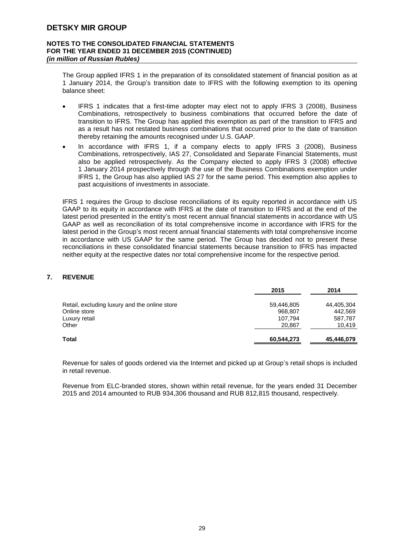#### **NOTES TO THE CONSOLIDATED FINANCIAL STATEMENTS FOR THE YEAR ENDED 31 DECEMBER 2015 (CONTINUED)** *(in million of Russian Rubles)*

The Group applied IFRS 1 in the preparation of its consolidated statement of financial position as at 1 January 2014, the Group's transition date to IFRS with the following exemption to its opening balance sheet:

- IFRS 1 indicates that a first-time adopter may elect not to apply IFRS 3 (2008), Business Combinations, retrospectively to business combinations that occurred before the date of transition to IFRS. The Group has applied this exemption as part of the transition to IFRS and as a result has not restated business combinations that occurred prior to the date of transition thereby retaining the amounts recognised under U.S. GAAP.
- In accordance with IFRS 1, if a company elects to apply IFRS 3 (2008), Business Combinations, retrospectively, IAS 27, Consolidated and Separate Financial Statements, must also be applied retrospectively. As the Company elected to apply IFRS 3 (2008) effective 1 January 2014 prospectively through the use of the Business Combinations exemption under IFRS 1, the Group has also applied IAS 27 for the same period. This exemption also applies to past acquisitions of investments in associate.

IFRS 1 requires the Group to disclose reconciliations of its equity reported in accordance with US GAAP to its equity in accordance with IFRS at the date of transition to IFRS and at the end of the latest period presented in the entity's most recent annual financial statements in accordance with US GAAP as well as reconciliation of its total comprehensive income in accordance with IFRS for the latest period in the Group's most recent annual financial statements with total comprehensive income in accordance with US GAAP for the same period. The Group has decided not to present these reconciliations in these consolidated financial statements because transition to IFRS has impacted neither equity at the respective dates nor total comprehensive income for the respective period.

#### **7. REVENUE**

|                                               | 2015       | 2014       |
|-----------------------------------------------|------------|------------|
| Retail, excluding luxury and the online store | 59,446,805 | 44,405,304 |
| Online store                                  | 968.807    | 442.569    |
| Luxury retail                                 | 107,794    | 587,787    |
| Other                                         | 20,867     | 10.419     |
| Total                                         | 60,544,273 | 45,446,079 |

Revenue for sales of goods ordered via the Internet and picked up at Group's retail shops is included in retail revenue.

Revenue from ELC-branded stores, shown within retail revenue, for the years ended 31 December 2015 and 2014 amounted to RUB 934,306 thousand and RUB 812,815 thousand, respectively.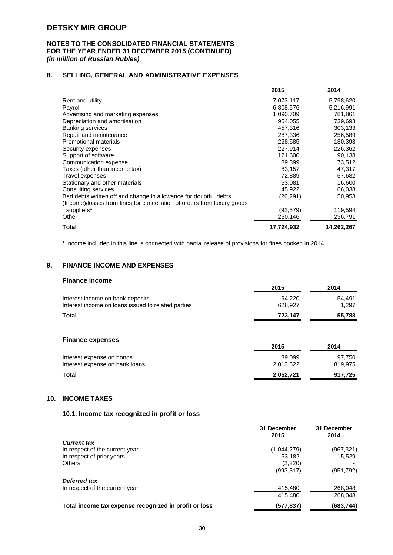#### **NOTES TO THE CONSOLIDATED FINANCIAL STATEMENTS FOR THE YEAR ENDED 31 DECEMBER 2015 (CONTINUED)** *(in million of Russian Rubles)*

#### **8. SELLING, GENERAL AND ADMINISTRATIVE EXPENSES**

|                                                                         | 2015       | 2014       |
|-------------------------------------------------------------------------|------------|------------|
| Rent and utility                                                        | 7,073,117  | 5,798,620  |
| Payroll                                                                 | 6,808,576  | 5,216,991  |
| Advertising and marketing expenses                                      | 1,090,709  | 781,861    |
| Depreciation and amortisation                                           | 954,055    | 739,693    |
| <b>Banking services</b>                                                 | 457,316    | 303,133    |
| Repair and maintenance                                                  | 287,336    | 256,589    |
| <b>Promotional materials</b>                                            | 228,585    | 180,393    |
| Security expenses                                                       | 227,914    | 226,362    |
| Support of software                                                     | 121,600    | 90,138     |
| Communication expense                                                   | 89,399     | 73,512     |
| Taxes (other than income tax)                                           | 83,157     | 47,317     |
| Travel expenses                                                         | 72,889     | 57,682     |
| Stationary and other materials                                          | 53,081     | 16,600     |
| Consulting services                                                     | 45,922     | 66,038     |
| Bad debts written off and change in allowance for doubtful debts        | (26,291)   | 50,953     |
| (Income)/losses from fines for cancellation of orders from luxury goods |            |            |
| suppliers*                                                              | (92, 579)  | 119,594    |
| Other                                                                   | 250,146    | 236,791    |
| Total                                                                   | 17,724,932 | 14,262,267 |

\* Income included in this line is connected with partial release of provisions for fines booked in 2014.

# **9. FINANCE INCOME AND EXPENSES**

#### **Finance income**

|                                                    | 2015    | 2014   |
|----------------------------------------------------|---------|--------|
| Interest income on bank deposits                   | 94.220  | 54.491 |
| Interest income on loans issued to related parties | 628.927 | 1,297  |
| Total                                              | 723.147 | 55,788 |
|                                                    |         |        |

#### **Finance expenses**

| 2015      | 2014    |
|-----------|---------|
| 39,099    | 97.750  |
| 2,013,622 | 819,975 |
| 2,052,721 | 917,725 |
|           |         |

#### **10. INCOME TAXES**

#### **10.1. Income tax recognized in profit or loss**

|                                                       | 31 December<br>2015 | 31 December<br>2014 |
|-------------------------------------------------------|---------------------|---------------------|
| <b>Current tax</b>                                    |                     |                     |
| In respect of the current year                        | (1,044,279)         | (967, 321)          |
| In respect of prior years                             | 53.182              | 15.529              |
| <b>Others</b>                                         | (2,220)             |                     |
|                                                       | (993,317)           | (951,792)           |
| Deferred tax                                          |                     |                     |
| In respect of the current year                        | 415,480             | 268,048             |
|                                                       | 415.480             | 268,048             |
| Total income tax expense recognized in profit or loss | (577.837)           | (683,744)           |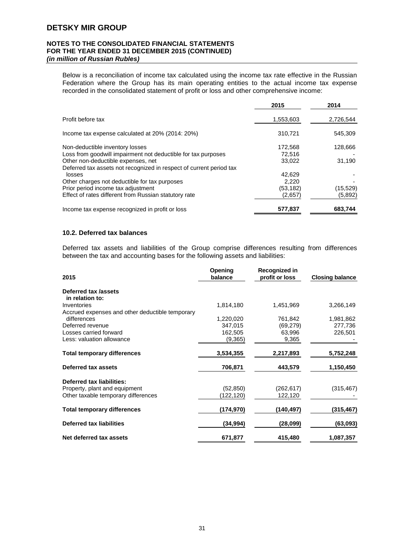#### **NOTES TO THE CONSOLIDATED FINANCIAL STATEMENTS FOR THE YEAR ENDED 31 DECEMBER 2015 (CONTINUED)** *(in million of Russian Rubles)*

Below is a reconciliation of income tax calculated using the income tax rate effective in the Russian Federation where the Group has its main operating entities to the actual income tax expense recorded in the consolidated statement of profit or loss and other comprehensive income:

|                                                                     | 2015      | 2014      |
|---------------------------------------------------------------------|-----------|-----------|
| Profit before tax                                                   | 1,553,603 | 2,726,544 |
| Income tax expense calculated at 20% (2014: 20%)                    | 310,721   | 545,309   |
| Non-deductible inventory losses                                     | 172,568   | 128,666   |
| Loss from goodwill impairment not deductible for tax purposes       | 72.516    |           |
| Other non-deductible expenses, net                                  | 33,022    | 31,190    |
| Deferred tax assets not recognized in respect of current period tax |           |           |
| losses                                                              | 42.629    |           |
| Other charges not deductible for tax purposes                       | 2.220     |           |
| Prior period income tax adjustment                                  | (53, 182) | (15, 529) |
| Effect of rates different from Russian statutory rate               | (2,657)   | (5,892)   |
| Income tax expense recognized in profit or loss                     | 577,837   | 683,744   |

#### **10.2. Deferred tax balances**

Deferred tax assets and liabilities of the Group comprise differences resulting from differences between the tax and accounting bases for the following assets and liabilities:

| 2015                                            | Opening<br>balance | Recognized in<br>profit or loss | <b>Closing balance</b> |
|-------------------------------------------------|--------------------|---------------------------------|------------------------|
| Deferred tax lassets<br>in relation to:         |                    |                                 |                        |
| Inventories                                     | 1,814,180          | 1,451,969                       | 3,266,149              |
| Accrued expenses and other deductible temporary |                    |                                 |                        |
| differences                                     | 1,220,020          | 761,842                         | 1,981,862              |
| Deferred revenue                                | 347,015            | (69, 279)                       | 277,736                |
| Losses carried forward                          | 162,505            | 63,996                          | 226,501                |
| Less: valuation allowance                       | (9, 365)           | 9,365                           |                        |
| <b>Total temporary differences</b>              | 3,534,355          | 2,217,893                       | 5,752,248              |
| Deferred tax assets                             | 706,871            | 443,579                         | 1,150,450              |
| <b>Deferred tax liabilities:</b>                |                    |                                 |                        |
| Property, plant and equipment                   | (52, 850)          | (262,617)                       | (315, 467)             |
| Other taxable temporary differences             | (122,120)          | 122,120                         |                        |
| <b>Total temporary differences</b>              | (174,970)          | (140, 497)                      | (315,467)              |
| <b>Deferred tax liabilities</b>                 | (34,994)           | (28,099)                        | (63,093)               |
| Net deferred tax assets                         | 671,877            | 415,480                         | 1,087,357              |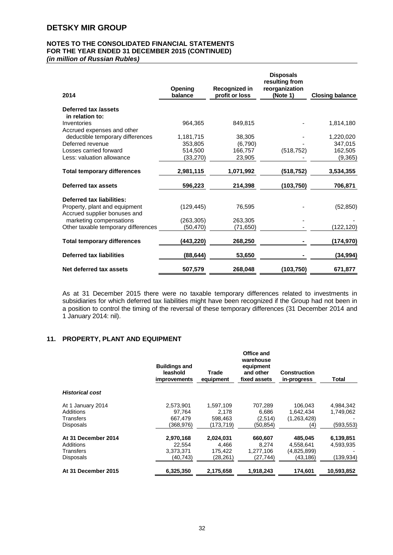#### **NOTES TO THE CONSOLIDATED FINANCIAL STATEMENTS FOR THE YEAR ENDED 31 DECEMBER 2015 (CONTINUED)** *(in million of Russian Rubles)*

| 2014                                                          | <b>Opening</b><br>balance | Recognized in<br>profit or loss | <b>Disposals</b><br>resulting from<br>reorganization<br>(Note 1) | <b>Closing balance</b> |
|---------------------------------------------------------------|---------------------------|---------------------------------|------------------------------------------------------------------|------------------------|
| Deferred tax lassets                                          |                           |                                 |                                                                  |                        |
| in relation to:                                               |                           |                                 |                                                                  |                        |
| Inventories                                                   | 964.365                   | 849.815                         |                                                                  | 1,814,180              |
| Accrued expenses and other                                    |                           |                                 |                                                                  |                        |
| deductible temporary differences                              | 1,181,715                 | 38,305                          |                                                                  | 1,220,020              |
| Deferred revenue                                              | 353.805                   | (6,790)                         |                                                                  | 347.015                |
| Losses carried forward                                        | 514.500                   | 166,757                         | (518, 752)                                                       | 162,505                |
| Less: valuation allowance                                     | (33, 270)                 | 23,905                          |                                                                  | (9, 365)               |
| <b>Total temporary differences</b>                            | 2,981,115                 | 1,071,992                       | (518,752)                                                        | 3,534,355              |
| Deferred tax assets                                           | 596,223                   | 214,398                         | (103, 750)                                                       | 706,871                |
| Deferred tax liabilities:                                     |                           |                                 |                                                                  |                        |
| Property, plant and equipment<br>Accrued supplier bonuses and | (129, 445)                | 76,595                          |                                                                  | (52, 850)              |
| marketing compensations                                       | (263, 305)                | 263,305                         |                                                                  |                        |
| Other taxable temporary differences                           | (50, 470)                 | (71, 650)                       |                                                                  | (122, 120)             |
| <b>Total temporary differences</b>                            | (443, 220)                | 268,250                         |                                                                  | (174, 970)             |
| <b>Deferred tax liabilities</b>                               | (88, 644)                 | 53,650                          |                                                                  | (34, 994)              |
| Net deferred tax assets                                       | 507,579                   | 268,048                         | (103, 750)                                                       | 671,877                |

As at 31 December 2015 there were no taxable temporary differences related to investments in subsidiaries for which deferred tax liabilities might have been recognized if the Group had not been in a position to control the timing of the reversal of these temporary differences (31 December 2014 and 1 January 2014: nil).

#### **11. PROPERTY, PLANT AND EQUIPMENT**

|                                                                   | <b>Buildings and</b><br>leashold<br><i>improvements</i> | Trade<br>equipment                        | Office and<br>warehouse<br>equipment<br>and other<br>fixed assets | <b>Construction</b><br>in-progress               | Total                                |
|-------------------------------------------------------------------|---------------------------------------------------------|-------------------------------------------|-------------------------------------------------------------------|--------------------------------------------------|--------------------------------------|
| <b>Historical cost</b>                                            |                                                         |                                           |                                                                   |                                                  |                                      |
| At 1 January 2014<br>Additions                                    | 2,573,901<br>97.764                                     | 1,597,109<br>2.178                        | 707,289<br>6,686                                                  | 106.043<br>1,642,434                             | 4,984,342<br>1,749,062               |
| Transfers<br><b>Disposals</b>                                     | 667,479<br>(368.976)                                    | 598,463<br>(173, 719)                     | (2,514)<br>(50,854)                                               | (1,263,428)<br>(4)                               | (593, 553)                           |
| At 31 December 2014<br>Additions<br>Transfers<br><b>Disposals</b> | 2,970,168<br>22,554<br>3,373,371<br>(40, 743)           | 2,024,031<br>4.466<br>175,422<br>(28,261) | 660,607<br>8.274<br>1,277,106<br>(27, 744)                        | 485.045<br>4,558,641<br>(4,825,899)<br>(43, 186) | 6,139,851<br>4,593,935<br>(139, 934) |
| At 31 December 2015                                               | 6,325,350                                               | 2,175,658                                 | 1,918,243                                                         | 174,601                                          | 10,593,852                           |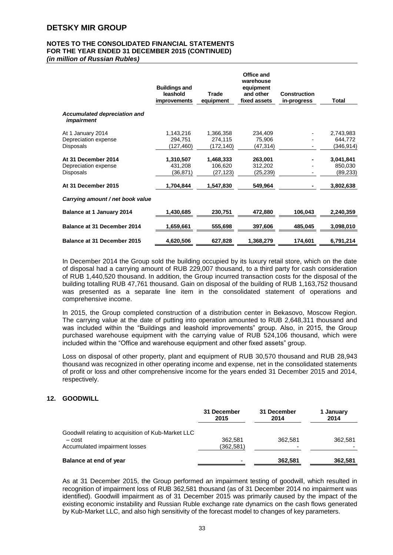#### **NOTES TO THE CONSOLIDATED FINANCIAL STATEMENTS FOR THE YEAR ENDED 31 DECEMBER 2015 (CONTINUED)** *(in million of Russian Rubles)*

|                                                                 | <b>Buildings and</b><br>leashold<br><i>improvements</i> | <b>Trade</b><br>equipment         | Office and<br>warehouse<br>equipment<br>and other<br>fixed assets | Construction<br>in-progress | <b>Total</b>                      |
|-----------------------------------------------------------------|---------------------------------------------------------|-----------------------------------|-------------------------------------------------------------------|-----------------------------|-----------------------------------|
| <b>Accumulated depreciation and</b><br><i>impairment</i>        |                                                         |                                   |                                                                   |                             |                                   |
| At 1 January 2014<br>Depreciation expense<br><b>Disposals</b>   | 1,143,216<br>294.751<br>(127,460)                       | 1,366,358<br>274,115<br>(172,140) | 234,409<br>75.906<br>(47,314)                                     |                             | 2,743,983<br>644.772<br>(346,914) |
| At 31 December 2014<br>Depreciation expense<br><b>Disposals</b> | 1,310,507<br>431,208<br>(36,871)                        | 1,468,333<br>106,620<br>(27,123)  | 263,001<br>312,202<br>(25, 239)                                   |                             | 3,041,841<br>850,030<br>(89,233)  |
| At 31 December 2015                                             | 1,704,844                                               | 1,547,830                         | 549,964                                                           |                             | 3,802,638                         |
| Carrying amount / net book value                                |                                                         |                                   |                                                                   |                             |                                   |
| Balance at 1 January 2014                                       | 1,430,685                                               | 230,751                           | 472,880                                                           | 106,043                     | 2,240,359                         |
| Balance at 31 December 2014                                     | 1,659,661                                               | 555,698                           | 397,606                                                           | 485,045                     | 3,098,010                         |
| Balance at 31 December 2015                                     | 4,620,506                                               | 627,828                           | 1,368,279                                                         | 174,601                     | 6,791,214                         |

In December 2014 the Group sold the building occupied by its luxury retail store, which on the date of disposal had a carrying amount of RUB 229,007 thousand, to a third party for cash consideration of RUB 1,440,520 thousand. In addition, the Group incurred transaction costs for the disposal of the building totalling RUB 47,761 thousand. Gain on disposal of the building of RUB 1,163,752 thousand was presented as a separate line item in the consolidated statement of operations and comprehensive income.

In 2015, the Group completed construction of a distribution center in Bekasovo, Moscow Region. The carrying value at the date of putting into operation amounted to RUB 2,648,311 thousand and was included within the "Buildings and leashold improvements" group. Also, in 2015, the Group purchased warehouse equipment with the carrying value of RUB 524,106 thousand, which were included within the "Office and warehouse equipment and other fixed assets" group.

Loss on disposal of other property, plant and equipment of RUB 30,570 thousand and RUB 28,943 thousand was recognized in other operating income and expense, net in the consolidated statements of profit or loss and other comprehensive income for the years ended 31 December 2015 and 2014, respectively.

#### **12. GOODWILL**

|                                                                                               | 31 December<br>2015      | 31 December<br>2014                 | 1 January<br>2014 |
|-----------------------------------------------------------------------------------------------|--------------------------|-------------------------------------|-------------------|
| Goodwill relating to acquisition of Kub-Market LLC<br>- cost<br>Accumulated impairment losses | 362.581<br>(362,581)     | 362.581<br>$\overline{\phantom{a}}$ | 362.581           |
| Balance at end of year                                                                        | $\overline{\phantom{0}}$ | 362.581                             | 362,581           |

As at 31 December 2015, the Group performed an impairment testing of goodwill, which resulted in recognition of impairment loss of RUB 362,581 thousand (as of 31 December 2014 no impairment was identified). Goodwill impairment as of 31 December 2015 was primarily caused by the impact of the existing economic instability and Russian Ruble exchange rate dynamics on the cash flows generated by Kub-Market LLC, and also high sensitivity of the forecast model to changes of key parameters.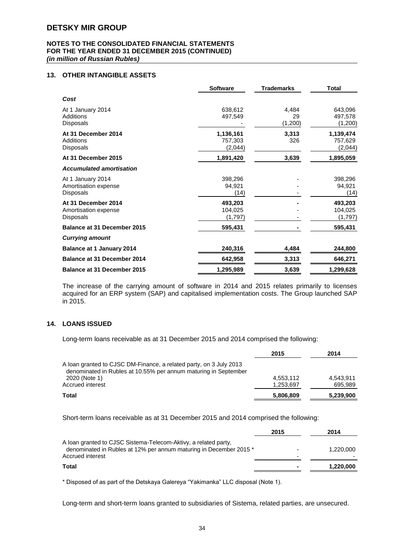#### **NOTES TO THE CONSOLIDATED FINANCIAL STATEMENTS FOR THE YEAR ENDED 31 DECEMBER 2015 (CONTINUED)** *(in million of Russian Rubles)*

#### **13. OTHER INTANGIBLE ASSETS**

|                                                          | <b>Software</b>                 | <b>Trademarks</b>      | Total                           |
|----------------------------------------------------------|---------------------------------|------------------------|---------------------------------|
| Cost                                                     |                                 |                        |                                 |
| At 1 January 2014<br>Additions<br>Disposals              | 638,612<br>497,549              | 4,484<br>29<br>(1,200) | 643,096<br>497,578<br>(1,200)   |
| At 31 December 2014<br>Additions<br>Disposals            | 1,136,161<br>757,303<br>(2,044) | 3,313<br>326           | 1,139,474<br>757,629<br>(2,044) |
| At 31 December 2015                                      | 1,891,420                       | 3,639                  | 1,895,059                       |
| <b>Accumulated amortisation</b>                          |                                 |                        |                                 |
| At 1 January 2014<br>Amortisation expense<br>Disposals   | 398,296<br>94,921<br>(14)       |                        | 398,296<br>94,921<br>(14)       |
| At 31 December 2014<br>Amortisation expense<br>Disposals | 493,203<br>104.025<br>(1,797)   |                        | 493,203<br>104,025<br>(1,797)   |
| <b>Balance at 31 December 2015</b>                       | 595,431                         |                        | 595,431                         |
| <b>Currying amount</b>                                   |                                 |                        |                                 |
| <b>Balance at 1 January 2014</b>                         | 240,316                         | 4,484                  | 244,800                         |
| Balance at 31 December 2014                              | 642,958                         | 3,313                  | 646,271                         |
| <b>Balance at 31 December 2015</b>                       | 1,295,989                       | 3,639                  | 1,299,628                       |

The increase of the carrying amount of software in 2014 and 2015 relates primarily to licenses acquired for an ERP system (SAP) and capitalised implementation costs. The Group launched SAP in 2015.

#### **14. LOANS ISSUED**

Long-term loans receivable as at 31 December 2015 and 2014 comprised the following:

|                                                                                                                                       | 2015      | 2014      |
|---------------------------------------------------------------------------------------------------------------------------------------|-----------|-----------|
| A loan granted to CJSC DM-Finance, a related party, on 3 July 2013<br>denominated in Rubles at 10.55% per annum maturing in September |           |           |
| 2020 (Note 1)                                                                                                                         | 4.553.112 | 4.543.911 |
| Accrued interest                                                                                                                      | 1,253,697 | 695,989   |
| <b>Total</b>                                                                                                                          | 5,806,809 | 5,239,900 |

Short-term loans receivable as at 31 December 2015 and 2014 comprised the following:

|                                                                                                                                                           | 2015                     | 2014      |
|-----------------------------------------------------------------------------------------------------------------------------------------------------------|--------------------------|-----------|
| A loan granted to CJSC Sistema-Telecom-Aktivy, a related party,<br>denominated in Rubles at 12% per annum maturing in December 2015 *<br>Accrued interest | -                        | 1.220.000 |
| Total                                                                                                                                                     | $\overline{\phantom{a}}$ | 1,220,000 |

\* Disposed of as part of the Detskaya Galereya "Yakimanka" LLC disposal (Note 1).

Long-term and short-term loans granted to subsidiaries of Sistema, related parties, are unsecured.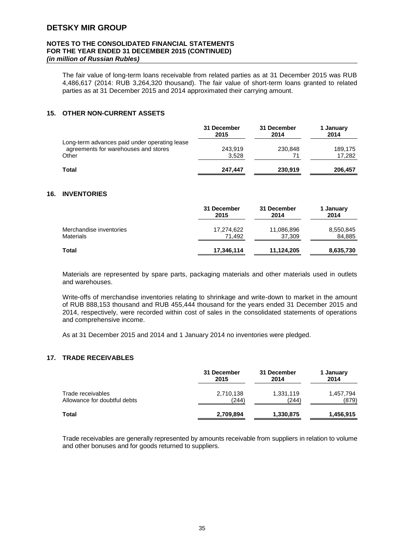#### **NOTES TO THE CONSOLIDATED FINANCIAL STATEMENTS FOR THE YEAR ENDED 31 DECEMBER 2015 (CONTINUED)** *(in million of Russian Rubles)*

The fair value of long-term loans receivable from related parties as at 31 December 2015 was RUB 4,486,617 (2014: RUB 3,264,320 thousand). The fair value of short-term loans granted to related parties as at 31 December 2015 and 2014 approximated their carrying amount.

#### **15. OTHER NON-CURRENT ASSETS**

|                                               | 31 December<br>2015 | 31 December<br>2014 | 1 January<br>2014 |
|-----------------------------------------------|---------------------|---------------------|-------------------|
| Long-term advances paid under operating lease |                     |                     |                   |
| agreements for warehouses and stores          | 243.919             | 230,848             | 189,175           |
| Other                                         | 3.528               | 71                  | 17.282            |
| Total                                         | 247,447             | 230,919             | 206,457           |

#### **16. INVENTORIES**

|                         | 31 December | 31 December | 1 January |
|-------------------------|-------------|-------------|-----------|
|                         | 2015        | 2014        | 2014      |
| Merchandise inventories | 17,274,622  | 11,086,896  | 8,550,845 |
| <b>Materials</b>        | 71,492      | 37,309      | 84,885    |
| Total                   | 17,346,114  | 11,124,205  | 8,635,730 |

Materials are represented by spare parts, packaging materials and other materials used in outlets and warehouses.

Write-offs of merchandise inventories relating to shrinkage and write-down to market in the amount of RUB 888,153 thousand and RUB 455,444 thousand for the years ended 31 December 2015 and 2014, respectively, were recorded within cost of sales in the consolidated statements of operations and comprehensive income.

As at 31 December 2015 and 2014 and 1 January 2014 no inventories were pledged.

# **17. TRADE RECEIVABLES**

|                              | 31 December | 31 December | 1 January |
|------------------------------|-------------|-------------|-----------|
|                              | 2015        | 2014        | 2014      |
| Trade receivables            | 2,710,138   | 1,331,119   | 1,457,794 |
| Allowance for doubtful debts | (244)       | (244)       | (879)     |
| Total                        | 2,709,894   | 1,330,875   | 1,456,915 |

Trade receivables are generally represented by amounts receivable from suppliers in relation to volume and other bonuses and for goods returned to suppliers.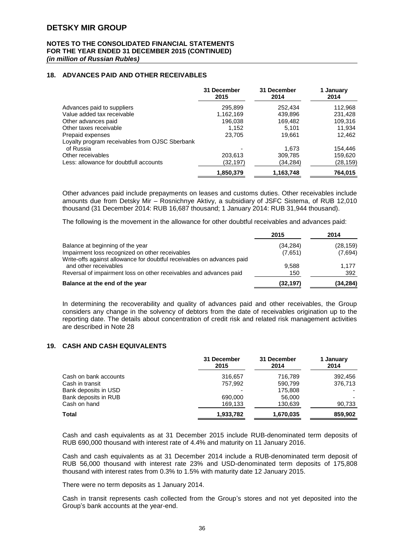#### **NOTES TO THE CONSOLIDATED FINANCIAL STATEMENTS FOR THE YEAR ENDED 31 DECEMBER 2015 (CONTINUED)** *(in million of Russian Rubles)*

#### **18. ADVANCES PAID AND OTHER RECEIVABLES**

|                                                | 31 December<br>2015 | 31 December<br>2014 | 1 January<br>2014 |
|------------------------------------------------|---------------------|---------------------|-------------------|
| Advances paid to suppliers                     | 295,899             | 252,434             | 112,968           |
| Value added tax receivable                     | 1,162,169           | 439,896             | 231,428           |
| Other advances paid                            | 196,038             | 169,482             | 109,316           |
| Other taxes receivable                         | 1,152               | 5.101               | 11,934            |
| Prepaid expenses                               | 23,705              | 19,661              | 12,462            |
| Loyalty program receivables from OJSC Sberbank |                     |                     |                   |
| of Russia                                      |                     | 1.673               | 154.446           |
| Other receivables                              | 203,613             | 309,785             | 159,620           |
| Less: allowance for doubtfull accounts         | (32, 197)           | (34,284)            | (28,159)          |
|                                                | 1,850,379           | 1,163,748           | 764.015           |

Other advances paid include prepayments on leases and customs duties. Other receivables include amounts due from Detsky Mir – Rosnichnye Aktivy, a subsidiary of JSFC Sistema, of RUB 12,010 thousand (31 December 2014: RUB 16,687 thousand; 1 January 2014: RUB 31,944 thousand).

The following is the movement in the allowance for other doubtful receivables and advances paid:

|                                                                        | 2015      | 2014      |
|------------------------------------------------------------------------|-----------|-----------|
| Balance at beginning of the year                                       | (34, 284) | (28, 159) |
| Impairment loss recognized on other receivables                        | (7,651)   | (7,694)   |
| Write-offs against allowance for doubtful receivables on advances paid |           |           |
| and other receivables                                                  | 9.588     | 1.177     |
| Reversal of impairment loss on other receivables and advances paid     | 150       | 392       |
| Balance at the end of the year                                         | (32, 197) | (34, 284) |

In determining the recoverability and quality of advances paid and other receivables, the Group considers any change in the solvency of debtors from the date of receivables origination up to the reporting date. The details about concentration of credit risk and related risk management activities are described in Note 28

#### **19. CASH AND CASH EQUIVALENTS**

|                       | 31 December<br>2015 | 31 December<br>2014 | 1 January<br>2014 |
|-----------------------|---------------------|---------------------|-------------------|
| Cash on bank accounts | 316,657             | 716,789             | 392,456           |
| Cash in transit       | 757,992             | 590,799             | 376,713           |
| Bank deposits in USD  |                     | 175,808             |                   |
| Bank deposits in RUB  | 690,000             | 56,000              |                   |
| Cash on hand          | 169,133             | 130,639             | 90,733            |
| Total                 | 1,933,782           | 1,670,035           | 859,902           |

Cash and cash equivalents as at 31 December 2015 include RUB-denominated term deposits of RUB 690,000 thousand with interest rate of 4.4% and maturity on 11 January 2016.

Cash and cash equivalents as at 31 December 2014 include a RUB-denominated term deposit of RUB 56,000 thousand with interest rate 23% and USD-denominated term deposits of 175,808 thousand with interest rates from 0.3% to 1.5% with maturity date 12 January 2015.

There were no term deposits as 1 January 2014.

Cash in transit represents cash collected from the Group's stores and not yet deposited into the Group's bank accounts at the year-end.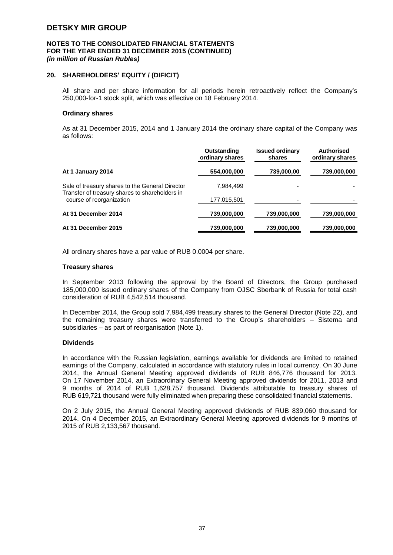#### **NOTES TO THE CONSOLIDATED FINANCIAL STATEMENTS FOR THE YEAR ENDED 31 DECEMBER 2015 (CONTINUED)** *(in million of Russian Rubles)*

#### **20. SHAREHOLDERS' EQUITY / (DIFICIT)**

All share and per share information for all periods herein retroactively reflect the Company's 250,000-for-1 stock split, which was effective on 18 February 2014.

#### **Ordinary shares**

As at 31 December 2015, 2014 and 1 January 2014 the ordinary share capital of the Company was as follows:

|                                                                            | Outstanding<br>ordinary shares | <b>Issued ordinary</b><br>shares | <b>Authorised</b><br>ordinary shares |
|----------------------------------------------------------------------------|--------------------------------|----------------------------------|--------------------------------------|
| At 1 January 2014                                                          | 554,000,000                    | 739,000,00                       | 739,000,000                          |
| Sale of treasury shares to the General Director                            | 7.984.499                      |                                  |                                      |
| Transfer of treasury shares to shareholders in<br>course of reorganization | 177,015,501                    |                                  |                                      |
| At 31 December 2014                                                        | 739,000,000                    | 739,000,000                      | 739,000,000                          |
| At 31 December 2015                                                        | 739,000,000                    | 739,000,000                      | 739,000,000                          |

All ordinary shares have a par value of RUB 0.0004 per share.

#### **Treasury shares**

In September 2013 following the approval by the Board of Directors, the Group purchased 185,000,000 issued ordinary shares of the Company from OJSC Sberbank of Russia for total cash consideration of RUB 4,542,514 thousand.

In December 2014, the Group sold 7,984,499 treasury shares to the General Director (Note 22), and the remaining treasury shares were transferred to the Group's shareholders – Sistema and subsidiaries – as part of reorganisation (Note 1).

#### **Dividends**

In accordance with the Russian legislation, earnings available for dividends are limited to retained earnings of the Company, calculated in accordance with statutory rules in local currency. On 30 June 2014, the Annual General Meeting approved dividends of RUB 846,776 thousand for 2013. On 17 November 2014, an Extraordinary General Meeting approved dividends for 2011, 2013 and 9 months of 2014 of RUB 1,628,757 thousand. Dividends attributable to treasury shares of RUB 619,721 thousand were fully eliminated when preparing these consolidated financial statements.

On 2 July 2015, the Annual General Meeting approved dividends of RUB 839,060 thousand for 2014. On 4 December 2015, an Extraordinary General Meeting approved dividends for 9 months of 2015 of RUB 2,133,567 thousand.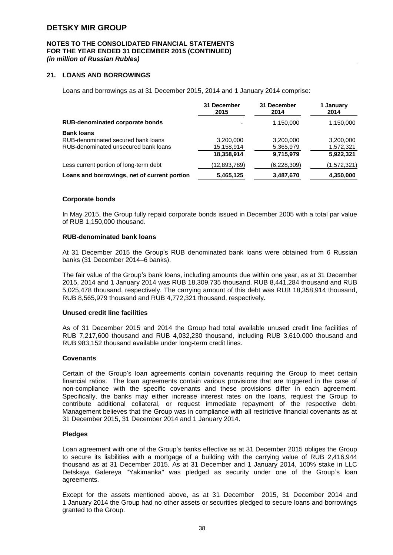#### **NOTES TO THE CONSOLIDATED FINANCIAL STATEMENTS FOR THE YEAR ENDED 31 DECEMBER 2015 (CONTINUED)** *(in million of Russian Rubles)*

#### **21. LOANS AND BORROWINGS**

Loans and borrowings as at 31 December 2015, 2014 and 1 January 2014 comprise:

|                                              | 31 December<br>2015 | 31 December<br>2014 | 1 January<br>2014 |
|----------------------------------------------|---------------------|---------------------|-------------------|
| <b>RUB-denominated corporate bonds</b>       |                     | 1,150,000           | 1,150,000         |
| <b>Bank loans</b>                            |                     |                     |                   |
| RUB-denominated secured bank loans           | 3,200,000           | 3,200,000           | 3,200,000         |
| RUB-denominated unsecured bank loans         | 15,158,914          | 5,365,979           | 1,572,321         |
|                                              | 18,358,914          | 9,715,979           | 5,922,321         |
| Less current portion of long-term debt       | (12,893,789)        | (6,228,309)         | (1,572,321)       |
| Loans and borrowings, net of current portion | 5,465,125           | 3,487,670           | 4,350,000         |

#### **Corporate bonds**

In May 2015, the Group fully repaid corporate bonds issued in December 2005 with a total par value of RUB 1,150,000 thousand.

#### **RUB-denominated bank loans**

At 31 December 2015 the Group's RUB denominated bank loans were obtained from 6 Russian banks (31 December 2014–6 banks).

The fair value of the Group's bank loans, including amounts due within one year, as at 31 December 2015, 2014 and 1 January 2014 was RUB 18,309,735 thousand, RUB 8,441,284 thousand and RUB 5,025,478 thousand, respectively. The carrying amount of this debt was RUB 18,358,914 thousand, RUB 8,565,979 thousand and RUB 4,772,321 thousand, respectively.

#### **Unused credit line facilities**

As of 31 December 2015 and 2014 the Group had total available unused credit line facilities of RUB 7,217,600 thousand and RUB 4,032,230 thousand, including RUB 3,610,000 thousand and RUB 983,152 thousand available under long-term credit lines.

#### **Covenants**

Certain of the Group's loan agreements contain covenants requiring the Group to meet certain financial ratios. The loan agreements contain various provisions that are triggered in the case of non-compliance with the specific covenants and these provisions differ in each agreement. Specifically, the banks may either increase interest rates on the loans, request the Group to contribute additional collateral, or request immediate repayment of the respective debt. Management believes that the Group was in compliance with all restrictive financial covenants as at 31 December 2015, 31 December 2014 and 1 January 2014.

#### **Pledges**

Loan agreement with one of the Group's banks effective as at 31 December 2015 obliges the Group to secure its liabilities with a mortgage of a building with the carrying value of RUB 2,416,944 thousand as at 31 December 2015. As at 31 December and 1 January 2014, 100% stake in LLC Detskaya Galereya "Yakimanka" was pledged as security under one of the Group's loan agreements.

Except for the assets mentioned above, as at 31 December 2015, 31 December 2014 and 1 January 2014 the Group had no other assets or securities pledged to secure loans and borrowings granted to the Group.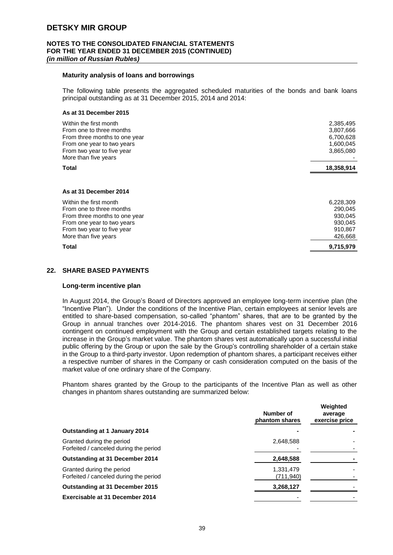#### **NOTES TO THE CONSOLIDATED FINANCIAL STATEMENTS FOR THE YEAR ENDED 31 DECEMBER 2015 (CONTINUED)** *(in million of Russian Rubles)*

#### **Maturity analysis of loans and borrowings**

The following table presents the aggregated scheduled maturities of the bonds and bank loans principal outstanding as at 31 December 2015, 2014 and 2014:

#### **As at 31 December 2015**

| Within the first month<br>From one to three months<br>From three months to one year<br>From one year to two years<br>From two year to five year<br>More than five years | 2,385,495<br>3,807,666<br>6,700,628<br>1,600,045<br>3,865,080 |
|-------------------------------------------------------------------------------------------------------------------------------------------------------------------------|---------------------------------------------------------------|
| Total                                                                                                                                                                   | 18,358,914                                                    |
| As at 31 December 2014                                                                                                                                                  |                                                               |
| Within the first month                                                                                                                                                  | 6,228,309                                                     |
| From one to three months                                                                                                                                                | 290.045                                                       |
| From three months to one year                                                                                                                                           | 930,045                                                       |
| From one year to two years                                                                                                                                              | 930,045                                                       |
| From two year to five year                                                                                                                                              | 910,867                                                       |
| More than five years                                                                                                                                                    | 426,668                                                       |
| Total                                                                                                                                                                   | 9,715,979                                                     |

#### **22. SHARE BASED PAYMENTS**

#### **Long-term incentive plan**

In August 2014, the Group's Board of Directors approved an employee long-term incentive plan (the "Incentive Plan"). Under the conditions of the Incentive Plan, certain employees at senior levels are entitled to share-based compensation, so-called "phantom" shares, that are to be granted by the Group in annual tranches over 2014-2016. The phantom shares vest on 31 December 2016 contingent on continued employment with the Group and certain established targets relating to the increase in the Group's market value. The phantom shares vest automatically upon a successful initial public offering by the Group or upon the sale by the Group's controlling shareholder of a certain stake in the Group to a third-party investor. Upon redemption of phantom shares, a participant receives either a respective number of shares in the Company or cash consideration computed on the basis of the market value of one ordinary share of the Company.

Phantom shares granted by the Group to the participants of the Incentive Plan as well as other changes in phantom shares outstanding are summarized below:

|                                                                     | Number of<br>phantom shares | Weighted<br>average<br>exercise price |
|---------------------------------------------------------------------|-----------------------------|---------------------------------------|
| Outstanding at 1 January 2014                                       |                             |                                       |
| Granted during the period<br>Forfeited / canceled during the period | 2,648,588                   |                                       |
| Outstanding at 31 December 2014                                     | 2,648,588                   |                                       |
| Granted during the period<br>Forfeited / canceled during the period | 1,331,479<br>(711, 940)     |                                       |
| Outstanding at 31 December 2015                                     | 3,268,127                   |                                       |
| Exercisable at 31 December 2014                                     |                             |                                       |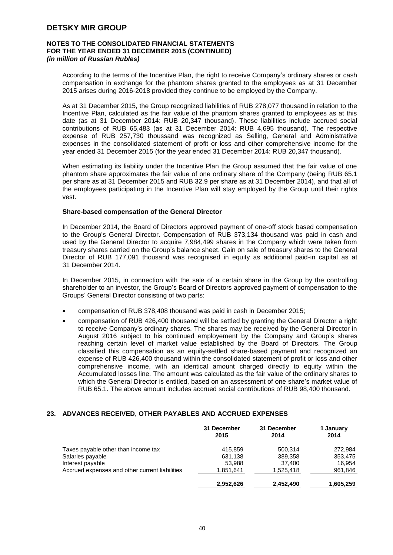#### **NOTES TO THE CONSOLIDATED FINANCIAL STATEMENTS FOR THE YEAR ENDED 31 DECEMBER 2015 (CONTINUED)** *(in million of Russian Rubles)*

According to the terms of the Incentive Plan, the right to receive Company's ordinary shares or cash compensation in exchange for the phantom shares granted to the employees as at 31 December 2015 arises during 2016-2018 provided they continue to be employed by the Company.

As at 31 December 2015, the Group recognized liabilities of RUB 278,077 thousand in relation to the Incentive Plan, calculated as the fair value of the phantom shares granted to employees as at this date (as at 31 December 2014: RUB 20,347 thousand). These liabilities include accrued social contributions of RUB 65,483 (as at 31 December 2014: RUB 4,695 thousand). The respective expense of RUB 257,730 thoussand was recognized as Selling, General and Administrative expenses in the consolidated statement of profit or loss and other comprehensive income for the year ended 31 December 2015 (for the year ended 31 December 2014: RUB 20,347 thousand).

When estimating its liability under the Incentive Plan the Group assumed that the fair value of one phantom share approximates the fair value of one ordinary share of the Company (being RUB 65.1 per share as at 31 December 2015 and RUB 32.9 per share as at 31 December 2014), and that all of the employees participating in the Incentive Plan will stay employed by the Group until their rights vest.

#### **Share-based compensation of the General Director**

In December 2014, the Board of Directors approved payment of one-off stock based compensation to the Group's General Director. Compensation of RUB 373,134 thousand was paid in cash and used by the General Director to acquire 7,984,499 shares in the Company which were taken from treasury shares carried on the Group's balance sheet. Gain on sale of treasury shares to the General Director of RUB 177,091 thousand was recognised in equity as additional paid-in capital as at 31 December 2014.

In December 2015, in connection with the sale of a certain share in the Group by the controlling shareholder to an investor, the Group's Board of Directors approved payment of compensation to the Groups' General Director consisting of two parts:

- compensation of RUB 378,408 thousand was paid in cash in December 2015;
- compensation of RUB 426,400 thousand will be settled by granting the General Director a right to receive Company's ordinary shares. The shares may be received by the General Director in August 2016 subject to his continued employement by the Company and Group's shares reaching certain level of market value established by the Board of Directors. The Group classified this compensation as an equity-settled share-based payment and recognized an expense of RUB 426,400 thousand within the consolidated statement of profit or loss and other comprehensive income, with an identical amount charged directly to equity within the Accumulated losses line. The amount was calculated as the fair value of the ordinary shares to which the General Director is entitled, based on an assessment of one share's market value of RUB 65.1. The above amount includes accrued social contributions of RUB 98,400 thousand.

#### **23. ADVANCES RECEIVED, OTHER PAYABLES AND ACCRUED EXPENSES**

|                                                | 31 December<br>2015 | 31 December<br>2014 | 1 January<br>2014 |
|------------------------------------------------|---------------------|---------------------|-------------------|
| Taxes payable other than income tax            | 415.859             | 500.314             | 272.984           |
| Salaries payable                               | 631,138             | 389,358             | 353,475           |
| Interest payable                               | 53,988              | 37,400              | 16.954            |
| Accrued expenses and other current liabilities | 1,851,641           | 1,525,418           | 961,846           |
|                                                | 2,952,626           | 2,452,490           | 1,605,259         |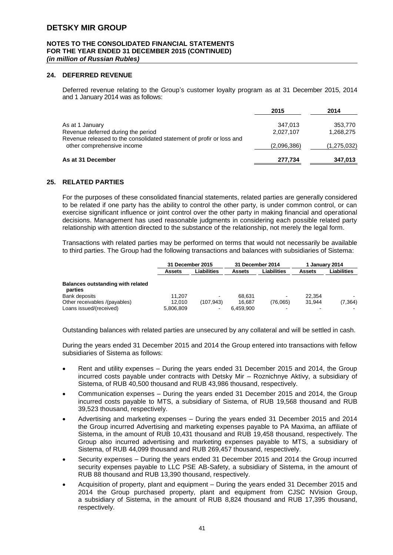#### **NOTES TO THE CONSOLIDATED FINANCIAL STATEMENTS FOR THE YEAR ENDED 31 DECEMBER 2015 (CONTINUED)** *(in million of Russian Rubles)*

#### **24. DEFERRED REVENUE**

Deferred revenue relating to the Group's customer loyalty program as at 31 December 2015, 2014 and 1 January 2014 was as follows:

|                                                                      | 2015        | 2014        |
|----------------------------------------------------------------------|-------------|-------------|
| As at 1 January                                                      | 347.013     | 353,770     |
| Revenue deferred during the period                                   | 2,027,107   | 1,268,275   |
| Revenue released to the consolidated statement of profir or loss and |             |             |
| other comprehensive income                                           | (2,096,386) | (1,275,032) |
| As at 31 December                                                    | 277,734     | 347,013     |

#### **25. RELATED PARTIES**

For the purposes of these consolidated financial statements, related parties are generally considered to be related if one party has the ability to control the other party, is under common control, or can exercise significant influence or joint control over the other party in making financial and operational decisions. Management has used reasonable judgments in considering each possible related party relationship with attention directed to the substance of the relationship, not merely the legal form.

Transactions with related parties may be performed on terms that would not necessarily be available to third parties. The Group had the following transactions and balances with subsidiaries of Sistema:

|                                                                           | 31 December 2015              |                      | 31 December 2014              |                    | 1 January 2014        |             |
|---------------------------------------------------------------------------|-------------------------------|----------------------|-------------------------------|--------------------|-----------------------|-------------|
|                                                                           | Assets                        | Liabilities          | <b>Assets</b>                 | Liabilities        | <b>Assets</b>         | Liabilities |
| <b>Balances outstanding with related</b><br>parties                       |                               |                      |                               |                    |                       |             |
| Bank deposits<br>Other receivables /(payables)<br>Loans issued/(received) | 11.207<br>12.010<br>5,806,809 | ۰.<br>(107.943)<br>- | 68.631<br>16.687<br>6,459,900 | $\sim$<br>(76.065) | 22.354<br>31.944<br>- | (7,364)     |

Outstanding balances with related parties are unsecured by any collateral and will be settled in cash.

During the years ended 31 December 2015 and 2014 the Group entered into transactions with fellow subsidiaries of Sistema as follows:

- Rent and utility expenses During the years ended 31 December 2015 and 2014, the Group incurred costs payable under contracts with Detsky Mir – Roznichnye Aktivy, a subsidiary of Sistema, of RUB 40,500 thousand and RUB 43,986 thousand, respectively.
- Communication expenses During the years ended 31 December 2015 and 2014, the Group incurred costs payable to MTS, a subsidiary of Sistema, of RUB 19,568 thousand and RUB 39,523 thousand, respectively.
- Advertising and marketing expenses During the years ended 31 December 2015 and 2014 the Group incurred Advertising and marketing expenses payable to PA Maxima, an affiliate of Sistema, in the amount of RUB 10,431 thousand and RUB 19,458 thousand, respectively. The Group also incurred advertising and marketing expenses payable to MTS, a subsidiary of Sistema, of RUB 44,099 thousand and RUB 269,457 thousand, respectively.
- Security expenses During the years ended 31 December 2015 and 2014 the Group incurred security expenses payable to LLC PSE AB-Safety, a subsidiary of Sistema, in the amount of RUB 88 thousand and RUB 13,390 thousand, respectively.
- Acquisition of property, plant and equipment During the years ended 31 December 2015 and 2014 the Group purchased property, plant and equipment from CJSC NVision Group, a subsidiary of Sistema, in the amount of RUB 8,824 thousand and RUB 17,395 thousand, respectively.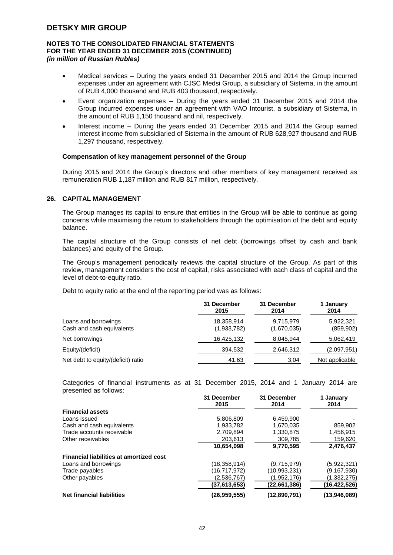#### **NOTES TO THE CONSOLIDATED FINANCIAL STATEMENTS FOR THE YEAR ENDED 31 DECEMBER 2015 (CONTINUED)** *(in million of Russian Rubles)*

- Medical services During the years ended 31 December 2015 and 2014 the Group incurred expenses under an agreement with CJSC Medsi Group, a subsidiary of Sistema, in the amount of RUB 4,000 thousand and RUB 403 thousand, respectively.
- Event organization expenses During the years ended 31 December 2015 and 2014 the Group incurred expenses under an agreement with VAO Intourist, a subsidiary of Sistema, in the amount of RUB 1,150 thousand and nil, respectively.
- Interest income During the years ended 31 December 2015 and 2014 the Group earned interest income from subsidiaried of Sistema in the amount of RUB 628,927 thousand and RUB 1,297 thousand, respectively.

#### **Compensation of key management personnel of the Group**

During 2015 and 2014 the Group's directors and other members of key management received as remuneration RUB 1,187 million and RUB 817 million, respectively.

#### **26. CAPITAL MANAGEMENT**

The Group manages its capital to ensure that entities in the Group will be able to continue as going concerns while maximising the return to stakeholders through the optimisation of the debt and equity balance.

The capital structure of the Group consists of net debt (borrowings offset by cash and bank balances) and equity of the Group.

The Group's management periodically reviews the capital structure of the Group. As part of this review, management considers the cost of capital, risks associated with each class of capital and the level of debt-to-equity ratio.

Debt to equity ratio at the end of the reporting period was as follows:

|                                                   | 31 December<br>2015       | 31 December<br>2014      | 1 January<br>2014       |
|---------------------------------------------------|---------------------------|--------------------------|-------------------------|
| Loans and borrowings<br>Cash and cash equivalents | 18,358,914<br>(1,933,782) | 9,715,979<br>(1,670,035) | 5,922,321<br>(859, 902) |
| Net borrowings                                    | 16,425,132                | 8,045,944                | 5,062,419               |
| Equity/(deficit)                                  | 394,532                   | 2,646,312                | (2,097,951)             |
| Net debt to equity/(deficit) ratio                | 41.63                     | 3,04                     | Not applicable          |

Categories of financial instruments as at 31 December 2015, 2014 and 1 January 2014 are presented as follows:

| 31 December<br>2015 | 31 December<br>2014 | 1 January<br>2014 |
|---------------------|---------------------|-------------------|
|                     |                     |                   |
| 5,806,809           | 6.459.900           |                   |
| 1,933,782           | 1,670,035           | 859,902           |
| 2.709.894           | 1,330,875           | 1,456,915         |
| 203,613             | 309,785             | 159,620           |
| 10,654,098          | 9,770,595           | 2,476,437         |
|                     |                     |                   |
| (18, 358, 914)      | (9,715,979)         | (5,922,321)       |
| (16,717,972)        | (10,993,231)        | (9,167,930)       |
| (2,536,767)         | (1,952,176)         | (1,332,275)       |
| (37,613,653)        | (22,661,386)        | (16,422,526)      |
| (26.959.555)        | (12,890,791)        | (13,946,089)      |
|                     |                     |                   |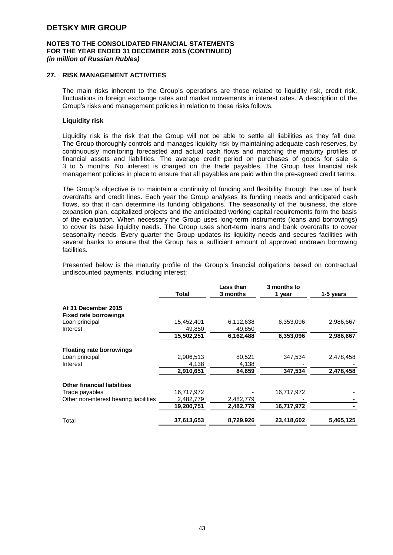#### **NOTES TO THE CONSOLIDATED FINANCIAL STATEMENTS FOR THE YEAR ENDED 31 DECEMBER 2015 (CONTINUED)** *(in million of Russian Rubles)*

#### **27. RISK MANAGEMENT ACTIVITIES**

The main risks inherent to the Group's operations are those related to liquidity risk, credit risk, fluctuations in foreign exchange rates and market movements in interest rates. A description of the Group's risks and management policies in relation to these risks follows.

#### **Liquidity risk**

Liquidity risk is the risk that the Group will not be able to settle all liabilities as they fall due. The Group thoroughly controls and manages liquidity risk by maintaining adequate cash reserves, by continuously monitoring forecasted and actual cash flows and matching the maturity profiles of financial assets and liabilities. The average credit period on purchases of goods for sale is 3 to 5 months. No interest is charged on the trade payables. The Group has financial risk management policies in place to ensure that all payables are paid within the pre-agreed credit terms.

The Group's objective is to maintain a continuity of funding and flexibility through the use of bank overdrafts and credit lines. Each year the Group analyses its funding needs and anticipated cash flows, so that it can determine its funding obligations. The seasonality of the business, the store expansion plan, capitalized projects and the anticipated working capital requirements form the basis of the evaluation. When necessary the Group uses long-term instruments (loans and borrowings) to cover its base liquidity needs. The Group uses short-term loans and bank overdrafts to cover seasonality needs. Every quarter the Group updates its liquidity needs and secures facilities with several banks to ensure that the Group has a sufficient amount of approved undrawn borrowing facilities.

|                                        | Total      | Less than<br>3 months | 3 months to<br>1 year | 1-5 years |
|----------------------------------------|------------|-----------------------|-----------------------|-----------|
| At 31 December 2015                    |            |                       |                       |           |
| <b>Fixed rate borrowings</b>           |            |                       |                       |           |
| Loan principal                         | 15,452,401 | 6,112,638             | 6,353,096             | 2,986,667 |
| Interest                               | 49,850     | 49,850                |                       |           |
|                                        | 15,502,251 | 6,162,488             | 6,353,096             | 2,986,667 |
| <b>Floating rate borrowings</b>        |            |                       |                       |           |
| Loan principal                         | 2,906,513  | 80,521                | 347,534               | 2,478,458 |
| Interest                               | 4,138      | 4,138                 |                       |           |
|                                        | 2,910,651  | 84,659                | 347,534               | 2,478,458 |
| <b>Other financial liabilities</b>     |            |                       |                       |           |
| Trade payables                         | 16,717,972 |                       | 16,717,972            |           |
| Other non-interest bearing liabilities | 2,482,779  | 2,482,779             |                       |           |
|                                        | 19,200,751 | 2,482,779             | 16,717,972            |           |
| Total                                  | 37,613,653 | 8,729,926             | 23,418,602            | 5.465.125 |

Presented below is the maturity profile of the Group's financial obligations based on contractual undiscounted payments, including interest: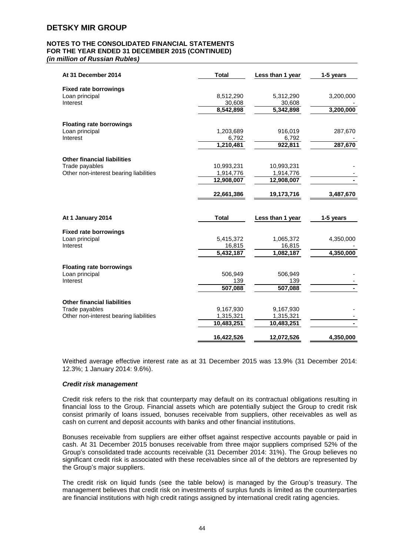#### **NOTES TO THE CONSOLIDATED FINANCIAL STATEMENTS FOR THE YEAR ENDED 31 DECEMBER 2015 (CONTINUED)** *(in million of Russian Rubles)*

| At 31 December 2014                    | <b>Total</b> | Less than 1 year | 1-5 years |
|----------------------------------------|--------------|------------------|-----------|
| <b>Fixed rate borrowings</b>           |              |                  |           |
| Loan principal                         | 8,512,290    | 5,312,290        | 3,200,000 |
| Interest                               | 30,608       | 30,608           |           |
|                                        | 8,542,898    | 5,342,898        | 3,200,000 |
| <b>Floating rate borrowings</b>        |              |                  |           |
| Loan principal                         | 1,203,689    | 916,019          | 287,670   |
| Interest                               | 6,792        | 6,792            |           |
|                                        | 1,210,481    | 922,811          | 287,670   |
| <b>Other financial liabilities</b>     |              |                  |           |
| Trade payables                         | 10,993,231   | 10,993,231       |           |
| Other non-interest bearing liabilities | 1,914,776    | 1,914,776        |           |
|                                        | 12,908,007   | 12,908,007       |           |
|                                        |              |                  |           |
|                                        | 22,661,386   | 19,173,716       | 3,487,670 |
| At 1 January 2014                      | <b>Total</b> | Less than 1 year | 1-5 years |
|                                        |              |                  |           |
| <b>Fixed rate borrowings</b>           |              |                  |           |
| Loan principal                         | 5,415,372    | 1,065,372        | 4,350,000 |
| Interest                               | 16,815       | 16,815           |           |
|                                        | 5,432,187    | 1,082,187        | 4,350,000 |
| <b>Floating rate borrowings</b>        |              |                  |           |
| Loan principal                         | 506,949      | 506,949          |           |
| Interest                               | 139          | 139              |           |
|                                        | 507,088      | 507,088          |           |
| <b>Other financial liabilities</b>     |              |                  |           |
| Trade payables                         | 9,167,930    | 9,167,930        |           |
| Other non-interest bearing liabilities | 1,315,321    | 1,315,321        |           |
|                                        | 10,483,251   | 10,483,251       |           |
|                                        | 16,422,526   | 12,072,526       | 4,350,000 |

Weithed average effective interest rate as at 31 December 2015 was 13.9% (31 December 2014: 12.3%; 1 January 2014: 9.6%).

#### *Credit risk management*

Credit risk refers to the risk that counterparty may default on its contractual obligations resulting in financial loss to the Group. Financial assets which are potentially subject the Group to credit risk consist primarily of loans issued, bonuses receivable from suppliers, other receivables as well as cash on current and deposit accounts with banks and other financial institutions.

Bonuses receivable from suppliers are either offset against respective accounts payable or paid in cash. At 31 December 2015 bonuses receivable from three major suppliers comprised 52% of the Group's consolidated trade accounts receivable (31 December 2014: 31%). The Group believes no significant credit risk is associated with these receivables since all of the debtors are represented by the Group's major suppliers.

The credit risk on liquid funds (see the table below) is managed by the Group's treasury. The management believes that credit risk on investments of surplus funds is limited as the counterparties are financial institutions with high credit ratings assigned by international credit rating agencies.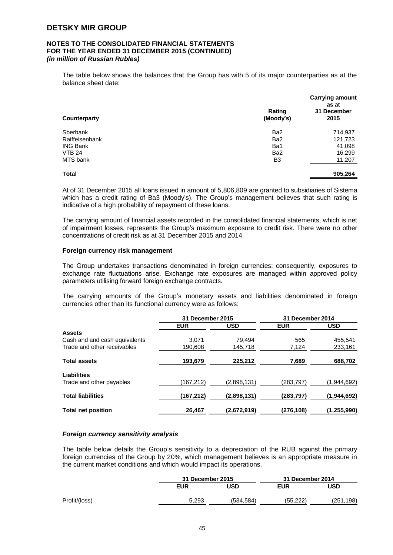#### **NOTES TO THE CONSOLIDATED FINANCIAL STATEMENTS FOR THE YEAR ENDED 31 DECEMBER 2015 (CONTINUED)** *(in million of Russian Rubles)*

The table below shows the balances that the Group has with 5 of its major counterparties as at the balance sheet date:

| Counterparty    | Rating<br>(Moody's) | <b>Carrying amount</b><br>as at<br>31 December<br>2015 |
|-----------------|---------------------|--------------------------------------------------------|
| Sberbank        | Ba <sub>2</sub>     | 714,937                                                |
| Raiffeisenbank  | Ba <sub>2</sub>     | 121,723                                                |
| <b>ING Bank</b> | Ba1                 | 41,098                                                 |
| <b>VTB 24</b>   | Ba <sub>2</sub>     | 16,299                                                 |
| MTS bank        | B <sub>3</sub>      | 11,207                                                 |
| <b>Total</b>    |                     | 905,264                                                |

At of 31 December 2015 all loans issued in amount of 5,806,809 are granted to subsidiaries of Sistema which has a credit rating of Ba3 (Moody's). The Group's management believes that such rating is indicative of a high probability of repayment of these loans.

The carrying amount of financial assets recorded in the consolidated financial statements, which is net of impairment losses, represents the Group's maximum exposure to credit risk. There were no other concentrations of credit risk as at 31 December 2015 and 2014.

#### **Foreign currency risk management**

The Group undertakes transactions denominated in foreign currencies; consequently, exposures to exchange rate fluctuations arise. Exchange rate exposures are managed within approved policy parameters utilising forward foreign exchange contracts.

The carrying amounts of the Group's monetary assets and liabilities denominated in foreign currencies other than its functional currency were as follows:

|                               | 31 December 2015 |             |            | 31 December 2014 |  |
|-------------------------------|------------------|-------------|------------|------------------|--|
|                               | <b>EUR</b>       | <b>USD</b>  | <b>EUR</b> | <b>USD</b>       |  |
| <b>Assets</b>                 |                  |             |            |                  |  |
| Cash and and cash equivalents | 3.071            | 79.494      | 565        | 455,541          |  |
| Trade and other receivables   | 190,608          | 145,718     | 7,124      | 233,161          |  |
| <b>Total assets</b>           | 193,679          | 225,212     | 7,689      | 688,702          |  |
| Liabilities                   |                  |             |            |                  |  |
| Trade and other payables      | (167,212)        | (2,898,131) | (283,797)  | (1,944,692)      |  |
| <b>Total liabilities</b>      | (167,212)        | (2,898,131) | (283,797)  | (1,944,692)      |  |
| <b>Total net position</b>     | 26,467           | (2,672,919) | (276,108)  | (1,255,990)      |  |

#### *Foreign currency sensitivity analysis*

The table below details the Group's sensitivity to a depreciation of the RUB against the primary foreign currencies of the Group by 20%, which management believes is an appropriate measure in the current market conditions and which would impact its operations.

|               | 31 December 2015 |           | 31 December 2014 |              |
|---------------|------------------|-----------|------------------|--------------|
|               | <b>EUR</b>       | USD       | <b>EUR</b>       | USD          |
| Profit/(loss) | 5,293            | (534.584) | (55,222)         | 198)<br>1251 |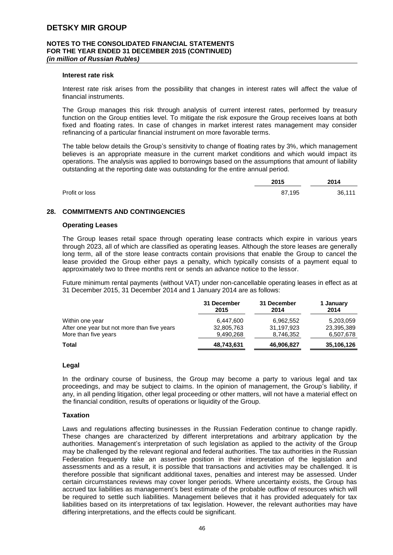#### **NOTES TO THE CONSOLIDATED FINANCIAL STATEMENTS FOR THE YEAR ENDED 31 DECEMBER 2015 (CONTINUED)** *(in million of Russian Rubles)*

#### **Interest rate risk**

Interest rate risk arises from the possibility that changes in interest rates will affect the value of financial instruments.

The Group manages this risk through analysis of current interest rates, performed by treasury function on the Group entities level. To mitigate the risk exposure the Group receives loans at both fixed and floating rates. In case of changes in market interest rates management may consider refinancing of a particular financial instrument on more favorable terms.

The table below details the Group's sensitivity to change of floating rates by 3%, which management believes is an appropriate measure in the current market conditions and which would impact its operations. The analysis was applied to borrowings based on the assumptions that amount of liability outstanding at the reporting date was outstanding for the entire annual period.

|                | 2015   | 2014   |
|----------------|--------|--------|
| Profit or loss | 87,195 | 36,111 |

#### **28. COMMITMENTS AND CONTINGENCIES**

#### **Operating Leases**

The Group leases retail space through operating lease contracts which expire in various years through 2023, all of which are classified as operating leases. Although the store leases are generally long term, all of the store lease contracts contain provisions that enable the Group to cancel the lease provided the Group either pays a penalty, which typically consists of a payment equal to approximately two to three months rent or sends an advance notice to the lessor.

Future minimum rental payments (without VAT) under non-cancellable operating leases in effect as at 31 December 2015, 31 December 2014 and 1 January 2014 are as follows:

|                                             | 31 December<br>2015 | 31 December<br>2014 | 1 January<br>2014 |
|---------------------------------------------|---------------------|---------------------|-------------------|
| Within one year                             | 6,447,600           | 6,962,552           | 5,203,059         |
| After one year but not more than five years | 32,805,763          | 31,197,923          | 23,395,389        |
| More than five years                        | 9,490,268           | 8,746,352           | 6,507,678         |
| Total                                       | 48,743,631          | 46,906,827          | 35,106,126        |

#### **Legal**

In the ordinary course of business, the Group may become a party to various legal and tax proceedings, and may be subject to claims. In the opinion of management, the Group's liability, if any, in all pending litigation, other legal proceeding or other matters, will not have a material effect on the financial condition, results of operations or liquidity of the Group.

#### **Taxation**

Laws and regulations affecting businesses in the Russian Federation continue to change rapidly. These changes are characterized by different interpretations and arbitrary application by the authorities. Management's interpretation of such legislation as applied to the activity of the Group may be challenged by the relevant regional and federal authorities. The tax authorities in the Russian Federation frequently take an assertive position in their interpretation of the legislation and assessments and as a result, it is possible that transactions and activities may be challenged. It is therefore possible that significant additional taxes, penalties and interest may be assessed. Under certain circumstances reviews may cover longer periods. Where uncertainty exists, the Group has accrued tax liabilities as management's best estimate of the probable outflow of resources which will be required to settle such liabilities. Management believes that it has provided adequately for tax liabilities based on its interpretations of tax legislation. However, the relevant authorities may have differing interpretations, and the effects could be significant.